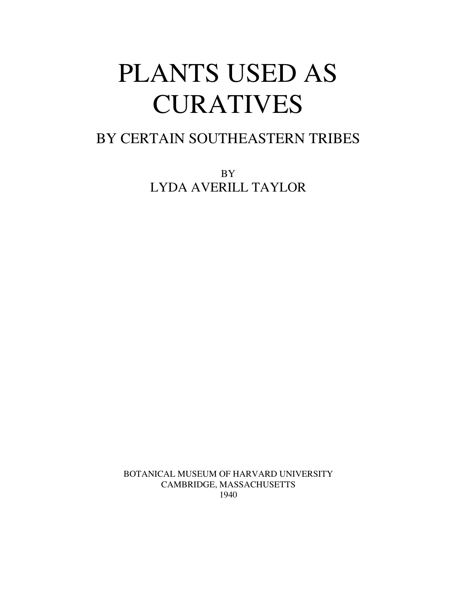# PLANTS USED AS CURATIVES

# BY CERTAIN SOUTHEASTERN TRIBES

BY LYDA AVERILL TAYLOR

BOTANICAL MUSEUM OF HARVARD UNIVERSITY CAMBRIDGE, MASSACHUSETTS 1940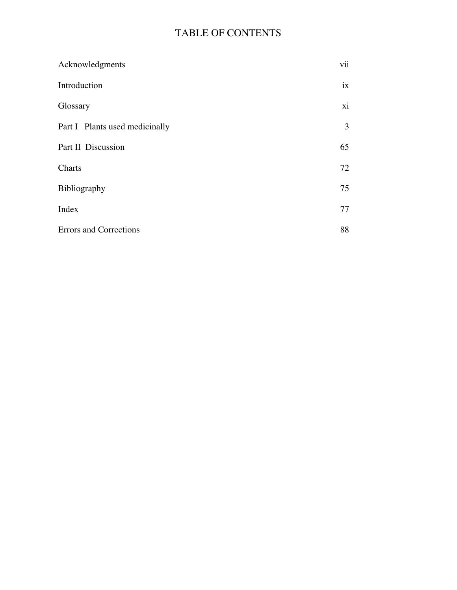# TABLE OF CONTENTS

| Acknowledgments                | vii |
|--------------------------------|-----|
| Introduction                   | ix  |
| Glossary                       | xi  |
| Part I Plants used medicinally | 3   |
| Part II Discussion             | 65  |
| Charts                         | 72  |
| Bibliography                   | 75  |
| Index                          | 77  |
| <b>Errors</b> and Corrections  | 88  |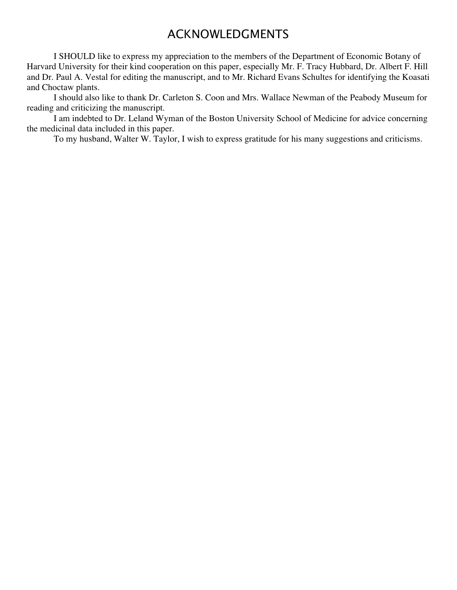# ACKNOWLEDGMENTS

I SHOULD like to express my appreciation to the members of the Department of Economic Botany of Harvard University for their kind cooperation on this paper, especially Mr. F. Tracy Hubbard, Dr. Albert F. Hill and Dr. Paul A. Vestal for editing the manuscript, and to Mr. Richard Evans Schultes for identifying the Koasati and Choctaw plants.

I should also like to thank Dr. Carleton S. Coon and Mrs. Wallace Newman of the Peabody Museum for reading and criticizing the manuscript.

I am indebted to Dr. Leland Wyman of the Boston University School of Medicine for advice concerning the medicinal data included in this paper.

To my husband, Walter W. Taylor, I wish to express gratitude for his many suggestions and criticisms.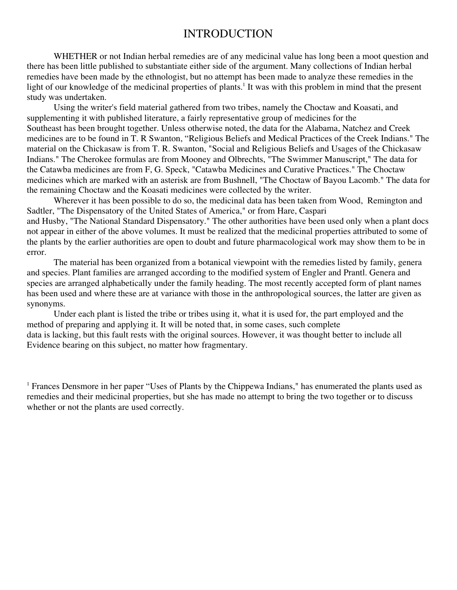# INTRODUCTION

WHETHER or not Indian herbal remedies are of any medicinal value has long been a moot question and there has been little published to substantiate either side of the argument. Many collections of Indian herbal remedies have been made by the ethnologist, but no attempt has been made to analyze these remedies in the light of our knowledge of the medicinal properties of plants.<sup>1</sup> It was with this problem in mind that the present study was undertaken.

Using the writer's field material gathered from two tribes, namely the Choctaw and Koasati, and supplementing it with published literature, a fairly representative group of medicines for the Southeast has been brought together. Unless otherwise noted, the data for the Alabama, Natchez and Creek medicines are to be found in T. R Swanton, "Religious Beliefs and Medical Practices of the Creek Indians." The material on the Chickasaw is from T. R. Swanton, "Social and Religious Beliefs and Usages of the Chickasaw Indians." The Cherokee formulas are from Mooney and Olbrechts, "The Swimmer Manuscript," The data for the Catawba medicines are from F, G. Speck, "Catawba Medicines and Curative Practices." The Choctaw medicines which are marked with an asterisk are from Bushnell, "The Choctaw of Bayou Lacomb." The data for the remaining Choctaw and the Koasati medicines were collected by the writer.

Wherever it has been possible to do so, the medicinal data has been taken from Wood, Remington and Sadtler, "The Dispensatory of the United States of America," or from Hare, Caspari and Husby, "The National Standard Dispensatory." The other authorities have been used only when a plant docs not appear in either of the above volumes. It must be realized that the medicinal properties attributed to some of the plants by the earlier authorities are open to doubt and future pharmacological work may show them to be in

The material has been organized from a botanical viewpoint with the remedies listed by family, genera and species. Plant families are arranged according to the modified system of Engler and Prantl. Genera and species are arranged alphabetically under the family heading. The most recently accepted form of plant names has been used and where these are at variance with those in the anthropological sources, the latter are given as synonyms.

Under each plant is listed the tribe or tribes using it, what it is used for, the part employed and the method of preparing and applying it. It will be noted that, in some cases, such complete data is lacking, but this fault rests with the original sources. However, it was thought better to include all Evidence bearing on this subject, no matter how fragmentary.

error.

<sup>1</sup> Frances Densmore in her paper "Uses of Plants by the Chippewa Indians," has enumerated the plants used as remedies and their medicinal properties, but she has made no attempt to bring the two together or to discuss whether or not the plants are used correctly.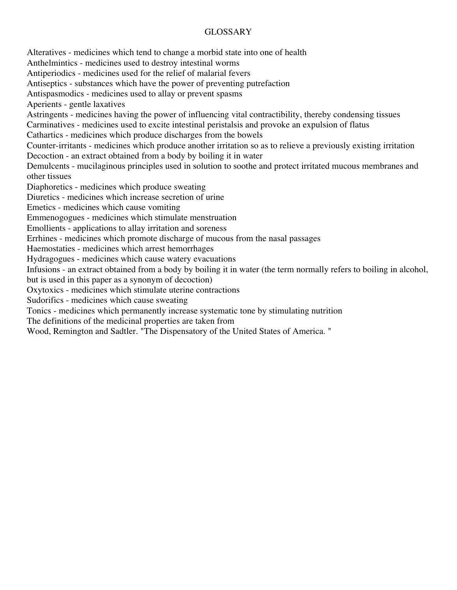# GLOSSARY

Alteratives - medicines which tend to change a morbid state into one of health Anthelmintics - medicines used to destroy intestinal worms Antiperiodics - medicines used for the relief of malarial fevers Antiseptics - substances which have the power of preventing putrefaction Antispasmodics - medicines used to allay or prevent spasms Aperients - gentle laxatives Astringents - medicines having the power of influencing vital contractibility, thereby condensing tissues Carminatives - medicines used to excite intestinal peristalsis and provoke an expulsion of flatus Cathartics - medicines which produce discharges from the bowels Counter-irritants - medicines which produce another irritation so as to relieve a previously existing irritation Decoction - an extract obtained from a body by boiling it in water Demulcents - mucilaginous principles used in solution to soothe and protect irritated mucous membranes and other tissues Diaphoretics - medicines which produce sweating Diuretics - medicines which increase secretion of urine Emetics - medicines which cause vomiting Emmenogogues - medicines which stimulate menstruation Emollients - applications to allay irritation and soreness Errhines - medicines which promote discharge of mucous from the nasal passages Haemostaties - medicines which arrest hemorrhages Hydragogues - medicines which cause watery evacuations Infusions - an extract obtained from a body by boiling it in water (the term normally refers to boiling in alcohol, but is used in this paper as a synonym of decoction) Oxytoxics - medicines which stimulate uterine contractions Sudorifics - medicines which cause sweating Tonics - medicines which permanently increase systematic tone by stimulating nutrition The definitions of the medicinal properties are taken from Wood, Remington and Sadtler. "The Dispensatory of the United States of America. "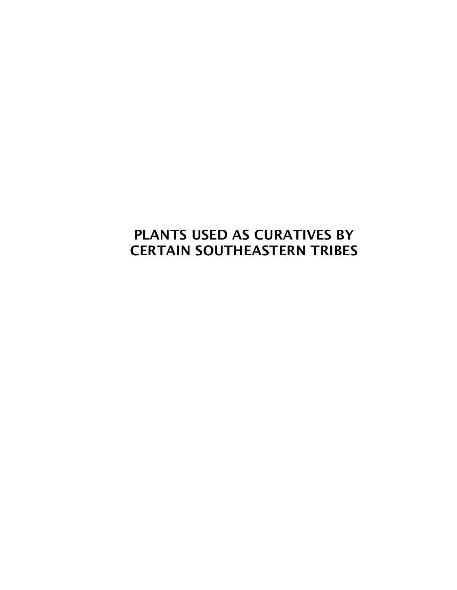# **PLANTS USED AS CURATIVES BY CERTAIN SOUTHEASTERN TRIBES**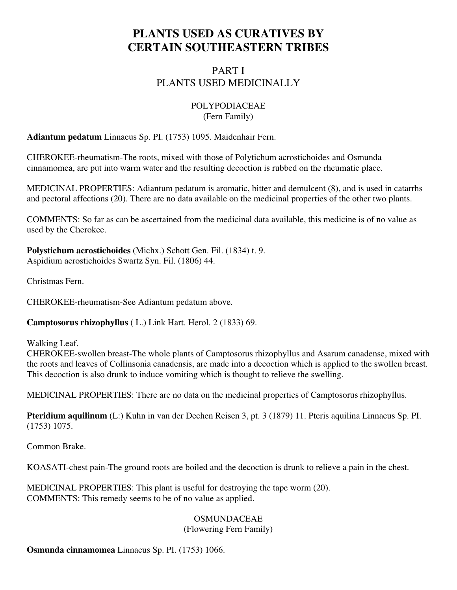# **PLANTS USED AS CURATIVES BY CERTAIN SOUTHEASTERN TRIBES**

# PART I PLANTS USED MEDICINALLY

#### POLYPODIACEAE (Fern Family)

**Adiantum pedatum** Linnaeus Sp. PI. (1753) 1095. Maidenhair Fern.

CHEROKEE-rheumatism-The roots, mixed with those of Polytichum acrostichoides and Osmunda cinnamomea, are put into warm water and the resulting decoction is rubbed on the rheumatic place.

MEDICINAL PROPERTIES: Adiantum pedatum is aromatic, bitter and demulcent (8), and is used in catarrhs and pectoral affections (20). There are no data available on the medicinal properties of the other two plants.

COMMENTS: So far as can be ascertained from the medicinal data available, this medicine is of no value as used by the Cherokee.

**Polystichum acrostichoides** (Michx.) Schott Gen. Fil. (1834) t. 9. Aspidium acrostichoides Swartz Syn. Fil. (1806) 44.

Christmas Fern.

CHEROKEE-rheumatism-See Adiantum pedatum above.

**Camptosorus rhizophyllus** ( L.) Link Hart. Herol. 2 (1833) 69.

Walking Leaf.

CHEROKEE-swollen breast-The whole plants of Camptosorus rhizophyllus and Asarum canadense, mixed with the roots and leaves of Collinsonia canadensis, are made into a decoction which is applied to the swollen breast. This decoction is also drunk to induce vomiting which is thought to relieve the swelling.

MEDlCINAL PROPERTIES: There are no data on the medicinal properties of Camptosorus rhizophyllus.

**Pteridium aquilinum** (L:) Kuhn in van der Dechen Reisen 3, pt. 3 (1879) 11. Pteris aquilina Linnaeus Sp. PI. (1753) 1075.

Common Brake.

KOASATI-chest pain-The ground roots are boiled and the decoction is drunk to relieve a pain in the chest.

MEDlCINAL PROPERTIES: This plant is useful for destroying the tape worm (20). COMMENTS: This remedy seems to be of no value as applied.

# **OSMUNDACEAE**

(Flowering Fern Family)

**Osmunda cinnamomea** Linnaeus Sp. PI. (1753) 1066.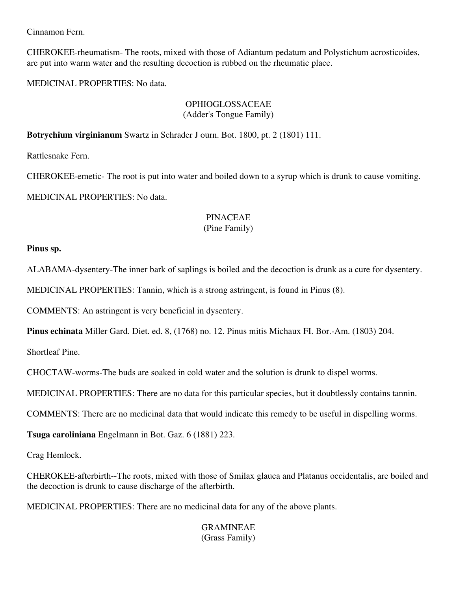Cinnamon Fern.

CHEROKEE-rheumatism- The roots, mixed with those of Adiantum pedatum and Polystichum acrosticoides, are put into warm water and the resulting decoction is rubbed on the rheumatic place.

MEDlCINAL PROPERTIES: No data.

# OPHIOGLOSSACEAE (Adder's Tongue Family)

**Botrychium virginianum** Swartz in Schrader J ourn. Bot. 1800, pt. 2 (1801) 111.

Rattlesnake Fern.

CHEROKEE-emetic- The root is put into water and boiled down to a syrup which is drunk to cause vomiting. MEDICINAL PROPERTIES: No data.

#### PINACEAE (Pine Family)

# **Pinus sp.**

ALABAMA-dysentery-The inner bark of saplings is boiled and the decoction is drunk as a cure for dysentery.

MEDICINAL PROPERTIES: Tannin, which is a strong astringent, is found in Pinus (8).

COMMENTS: An astringent is very beneficial in dysentery.

**Pinus echinata** Miller Gard. Diet. ed. 8, (1768) no. 12. Pinus mitis Michaux FI. Bor.-Am. (1803) 204.

Shortleaf Pine.

CHOCTAW-worms-The buds are soaked in cold water and the solution is drunk to dispel worms.

MEDICINAL PROPERTIES: There are no data for this particular species, but it doubtlessly contains tannin.

COMMENTS: There are no medicinal data that would indicate this remedy to be useful in dispelling worms.

**Tsuga caroliniana** Engelmann in Bot. Gaz. 6 (1881) 223.

Crag Hemlock.

CHEROKEE-afterbirth--The roots, mixed with those of Smilax glauca and Platanus occidentalis, are boiled and the decoction is drunk to cause discharge of the afterbirth.

MEDICINAL PROPERTIES: There are no medicinal data for any of the above plants.

# GRAMINEAE (Grass Family)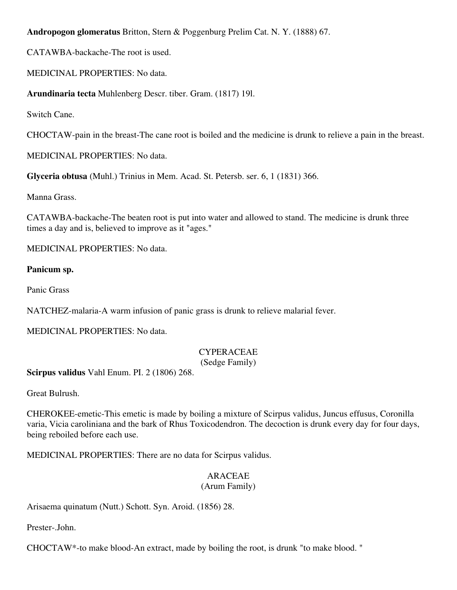**Andropogon glomeratus** Britton, Stern & Poggenburg Prelim Cat. N. Y. (1888) 67.

CATAWBA-backache-The root is used.

MEDICINAL PROPERTIES: No data.

**Arundinaria tecta** Muhlenberg Descr. tiber. Gram. (1817) 19l.

Switch Cane.

CHOCTAW-pain in the breast-The cane root is boiled and the medicine is drunk to relieve a pain in the breast.

MEDICINAL PROPERTIES: No data.

**Glyceria obtusa** (Muhl.) Trinius in Mem. Acad. St. Petersb. ser. 6, 1 (1831) 366.

Manna Grass.

CATAWBA-backache-The beaten root is put into water and allowed to stand. The medicine is drunk three times a day and is, believed to improve as it "ages."

MEDICINAL PROPERTIES: No data.

# **Panicum sp.**

Panic Grass

NATCHEZ-malaria-A warm infusion of panic grass is drunk to relieve malarial fever.

MEDICINAL PROPERTIES: No data.

# CYPERACEAE

(Sedge Family)

**Scirpus validus** Vahl Enum. PI. 2 (1806) 268.

Great Bulrush.

CHEROKEE-emetic-This emetic is made by boiling a mixture of Scirpus validus, Juncus effusus, Coronilla varia, Vicia caroliniana and the bark of Rhus Toxicodendron. The decoction is drunk every day for four days, being reboiled before each use.

MEDICINAL PROPERTIES: There are no data for Scirpus validus.

# ARACEAE

# (Arum Family)

Arisaema quinatum (Nutt.) Schott. Syn. Aroid. (1856) 28.

Prester-.John.

CHOCTAW\*-to make blood-An extract, made by boiling the root, is drunk "to make blood. "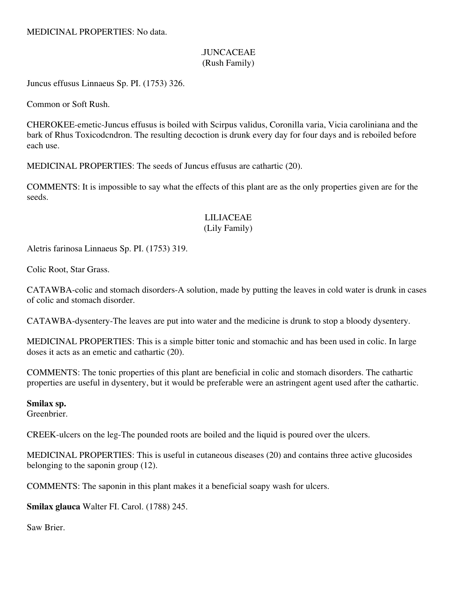MEDICINAL PROPERTIES: No data.

# .JUNCACEAE (Rush Family)

Juncus effusus Linnaeus Sp. PI. (1753) 326.

Common or Soft Rush.

CHEROKEE-emetic-Juncus effusus is boiled with Scirpus validus, Coronilla varia, Vicia caroliniana and the bark of Rhus Toxicodcndron. The resulting decoction is drunk every day for four days and is reboiled before each use.

MEDICINAL PROPERTIES: The seeds of Juncus effusus are cathartic (20).

COMMENTS: It is impossible to say what the effects of this plant are as the only properties given are for the seeds.

#### LILIACEAE (Lily Family)

Aletris farinosa Linnaeus Sp. PI. (1753) 319.

Colic Root, Star Grass.

CATAWBA-colic and stomach disorders-A solution, made by putting the leaves in cold water is drunk in cases of colic and stomach disorder.

CATAWBA-dysentery-The leaves are put into water and the medicine is drunk to stop a bloody dysentery.

MEDICINAL PROPERTIES: This is a simple bitter tonic and stomachic and has been used in colic. In large doses it acts as an emetic and cathartic (20).

COMMENTS: The tonic properties of this plant are beneficial in colic and stomach disorders. The cathartic properties are useful in dysentery, but it would be preferable were an astringent agent used after the cathartic.

# **Smilax sp.**

Greenbrier.

CREEK-ulcers on the leg-The pounded roots are boiled and the liquid is poured over the ulcers.

MEDICINAL PROPERTIES: This is useful in cutaneous diseases (20) and contains three active glucosides belonging to the saponin group (12).

COMMENTS: The saponin in this plant makes it a beneficial soapy wash for ulcers.

**Smilax glauca** Walter FI. Carol. (1788) 245.

Saw Brier.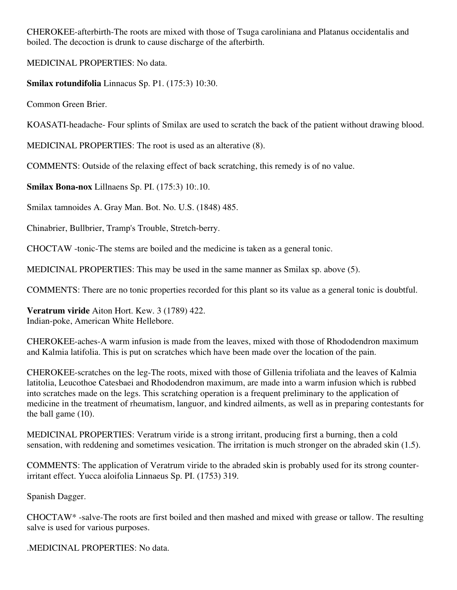CHEROKEE-afterbirth-The roots are mixed with those of Tsuga caroliniana and Platanus occidentalis and boiled. The decoction is drunk to cause discharge of the afterbirth.

MEDICINAL PROPERTIES: No data.

**Smilax rotundifolia** Linnacus Sp. P1. (175:3) 10:30.

Common Green Brier.

KOASATI-headache- Four splints of Smilax are used to scratch the back of the patient without drawing blood.

MEDICINAL PROPERTIES: The root is used as an alterative (8).

COMMENTS: Outside of the relaxing effect of back scratching, this remedy is of no value.

**Smilax Bona-nox** Lillnaens Sp. PI. (175:3) 10:.10.

Smilax tamnoides A. Gray Man. Bot. No. U.S. (1848) 485.

Chinabrier, Bullbrier, Tramp's Trouble, Stretch-berry.

CHOCTAW -tonic-The stems are boiled and the medicine is taken as a general tonic.

MEDICINAL PROPERTIES: This may be used in the same manner as Smilax sp. above (5).

COMMENTS: There are no tonic properties recorded for this plant so its value as a general tonic is doubtful.

**Veratrum viride** Aiton Hort. Kew. 3 (1789) 422. Indian-poke, American White Hellebore.

CHEROKEE-aches-A warm infusion is made from the leaves, mixed with those of Rhododendron maximum and Kalmia latifolia. This is put on scratches which have been made over the location of the pain.

CHEROKEE-scratches on the leg-The roots, mixed with those of Gillenia trifoliata and the leaves of Kalmia latitolia, Leucothoe Catesbaei and Rhododendron maximum, are made into a warm infusion which is rubbed into scratches made on the legs. This scratching operation is a frequent preliminary to the application of medicine in the treatment of rheumatism, languor, and kindred ailments, as well as in preparing contestants for the ball game (10).

MEDICINAL PROPERTIES: Veratrum viride is a strong irritant, producing first a burning, then a cold sensation, with reddening and sometimes vesication. The irritation is much stronger on the abraded skin (1.5).

COMMENTS: The application of Veratrum viride to the abraded skin is probably used for its strong counterirritant effect. Yucca aloifolia Linnaeus Sp. PI. (1753) 319.

Spanish Dagger.

CHOCTAW\* -salve-The roots are first boiled and then mashed and mixed with grease or tallow. The resulting salve is used for various purposes.

.MEDICINAL PROPERTIES: No data.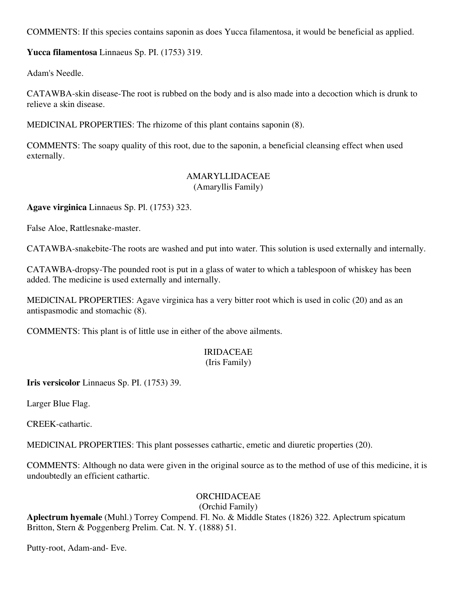COMMENTS: If this species contains saponin as does Yucca filamentosa, it would be beneficial as applied.

**Yucca filamentosa** Linnaeus Sp. PI. (1753) 319.

Adam's Needle.

CATAWBA-skin disease-The root is rubbed on the body and is also made into a decoction which is drunk to relieve a skin disease.

MEDICINAL PROPERTIES: The rhizome of this plant contains saponin (8).

COMMENTS: The soapy quality of this root, due to the saponin, a beneficial cleansing effect when used externally.

#### AMARYLLIDACEAE (Amaryllis Family)

**Agave virginica** Linnaeus Sp. Pl. (1753) 323.

False Aloe, Rattlesnake-master.

CATAWBA-snakebite-The roots are washed and put into water. This solution is used externally and internally.

CATAWBA-dropsy-The pounded root is put in a glass of water to which a tablespoon of whiskey has been added. The medicine is used externally and internally.

MEDlCINAL PROPERTIES: Agave virginica has a very bitter root which is used in colic (20) and as an antispasmodic and stomachic (8).

COMMENTS: This plant is of little use in either of the above ailments.

# IRIDACEAE

#### (Iris Family)

**Iris versicolor** Linnaeus Sp. PI. (1753) 39.

Larger Blue Flag.

CREEK-cathartic.

MEDlCINAL PROPERTIES: This plant possesses cathartic, emetic and diuretic properties (20).

COMMENTS: Although no data were given in the original source as to the method of use of this medicine, it is undoubtedly an efficient cathartic.

# ORCHIDACEAE

(Orchid Family)

**Aplectrum hyemale** (Muhl.) Torrey Compend. Fl. No. & Middle States (1826) 322. Aplectrum spicatum Britton, Stern & Poggenberg Prelim. Cat. N. Y. (1888) 51.

Putty-root, Adam-and- Eve.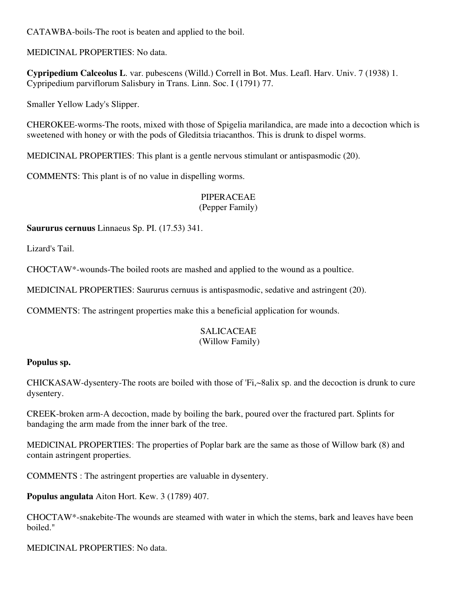CATAWBA-boils-The root is beaten and applied to the boil.

MEDICINAL PROPERTIES: No data.

**Cypripedium Calceolus L**. var. pubescens (Willd.) Correll in Bot. Mus. Leafl. Harv. Univ. 7 (1938) 1. Cypripedium parviflorum Salisbury in Trans. Linn. Soc. I (1791) 77.

Smaller Yellow Lady's Slipper.

CHEROKEE-worms-The roots, mixed with those of Spigelia marilandica, are made into a decoction which is sweetened with honey or with the pods of Gleditsia triacanthos. This is drunk to dispel worms.

MEDICINAL PROPERTIES: This plant is a gentle nervous stimulant or antispasmodic (20).

COMMENTS: This plant is of no value in dispelling worms.

# PIPERACEAE

#### (Pepper Family)

**Saururus cernuus** Linnaeus Sp. PI. (17.53) 341.

Lizard's Tail.

CHOCTAW\*-wounds-The boiled roots are mashed and applied to the wound as a poultice.

MEDICINAL PROPERTIES: Saururus cernuus is antispasmodic, sedative and astringent (20).

COMMENTS: The astringent properties make this a beneficial application for wounds.

# SALICACEAE

# (Willow Family)

# **Populus sp.**

CHICKASAW-dysentery-The roots are boiled with those of 'Fi,~8alix sp. and the decoction is drunk to cure dysentery.

CREEK-broken arm-A decoction, made by boiling the bark, poured over the fractured part. Splints for bandaging the arm made from the inner bark of the tree.

MEDlCINAL PROPERTIES: The properties of Poplar bark are the same as those of Willow bark (8) and contain astringent properties.

COMMENTS : The astringent properties are valuable in dysentery.

**Populus angulata** Aiton Hort. Kew. 3 (1789) 407.

CHOCTAW\*-snakebite-The wounds are steamed with water in which the stems, bark and leaves have been boiled."

MEDICINAL PROPERTIES: No data.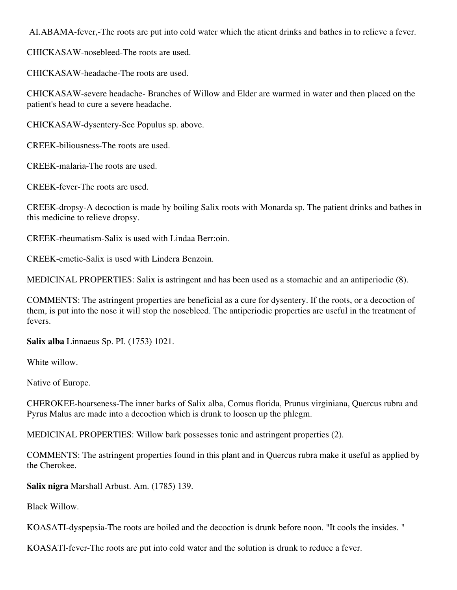AI.ABAMA-fever,-The roots are put into cold water which the atient drinks and bathes in to relieve a fever.

CHICKASAW-nosebleed-The roots are used.

CHICKASAW-headache-The roots are used.

CHICKASAW-severe headache- Branches of Willow and Elder are warmed in water and then placed on the patient's head to cure a severe headache.

CHICKASAW-dysentery-See Populus sp. above.

CREEK-biliousness-The roots are used.

CREEK-malaria-The roots are used.

CREEK-fever-The roots are used.

CREEK-dropsy-A decoction is made by boiling Salix roots with Monarda sp. The patient drinks and bathes in this medicine to relieve dropsy.

CREEK-rheumatism-Salix is used with Lindaa Berr:oin.

CREEK-emetic-Salix is used with Lindera Benzoin.

MEDICINAL PROPERTIES: Salix is astringent and has been used as a stomachic and an antiperiodic (8).

COMMENTS: The astringent properties are beneficial as a cure for dysentery. If the roots, or a decoction of them, is put into the nose it will stop the nosebleed. The antiperiodic properties are useful in the treatment of fevers.

**Salix alba** Linnaeus Sp. PI. (1753) 1021.

White willow.

Native of Europe.

CHEROKEE-hoarseness-The inner barks of Salix alba, Cornus florida, Prunus virginiana, Quercus rubra and Pyrus Malus are made into a decoction which is drunk to loosen up the phlegm.

MEDICINAL PROPERTlES: Willow bark possesses tonic and astringent properties (2).

COMMENTS: The astringent properties found in this plant and in Quercus rubra make it useful as applied by the Cherokee.

**Salix nigra** Marshall Arbust. Am. (1785) 139.

Black Willow.

KOASATI-dyspepsia-The roots are boiled and the decoction is drunk before noon. "It cools the insides. "

KOASATl-fever-The roots are put into cold water and the solution is drunk to reduce a fever.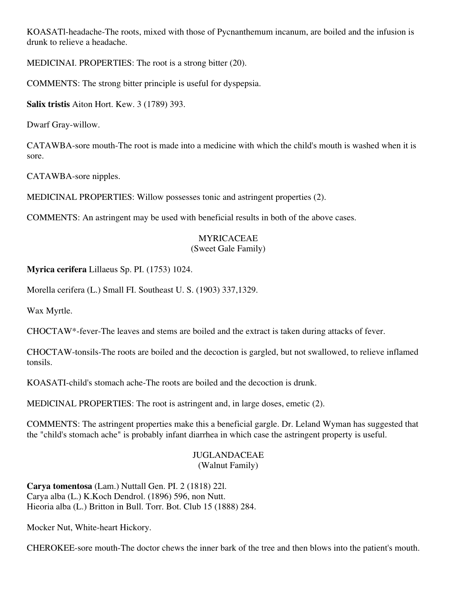KOASATl-headache-The roots, mixed with those of Pycnanthemum incanum, are boiled and the infusion is drunk to relieve a headache.

MEDICINAI. PROPERTIES: The root is a strong bitter (20).

COMMENTS: The strong bitter principle is useful for dyspepsia.

**Salix tristis** Aiton Hort. Kew. 3 (1789) 393.

Dwarf Gray-willow.

CATAWBA-sore mouth-The root is made into a medicine with which the child's mouth is washed when it is sore.

CATAWBA-sore nipples.

MEDICINAL PROPERTIES: Willow possesses tonic and astringent properties (2).

COMMENTS: An astringent may be used with beneficial results in both of the above cases.

# MYRICACEAE

# (Sweet Gale Family)

**Myrica cerifera** Lillaeus Sp. PI. (1753) 1024.

Morella cerifera (L.) Small FI. Southeast U. S. (1903) 337,1329.

Wax Myrtle.

CHOCTAW\*-fever-The leaves and stems are boiled and the extract is taken during attacks of fever.

CHOCTAW-tonsils-The roots are boiled and the decoction is gargled, but not swallowed, to relieve inflamed tonsils.

KOASATI-child's stomach ache-The roots are boiled and the decoction is drunk.

MEDlCINAL PROPERTIES: The root is astringent and, in large doses, emetic (2).

COMMENTS: The astringent properties make this a beneficial gargle. Dr. Leland Wyman has suggested that the "child's stomach ache" is probably infant diarrhea in which case the astringent property is useful.

# JUGLANDACEAE (Walnut Family)

**Carya tomentosa** (Lam.) Nuttall Gen. PI. 2 (1818) 22l. Carya alba (L.) K.Koch Dendrol. (1896) 596, non Nutt. Hieoria alba (L.) Britton in Bull. Torr. Bot. Club 15 (1888) 284.

Mocker Nut, White-heart Hickory.

CHEROKEE-sore mouth-The doctor chews the inner bark of the tree and then blows into the patient's mouth.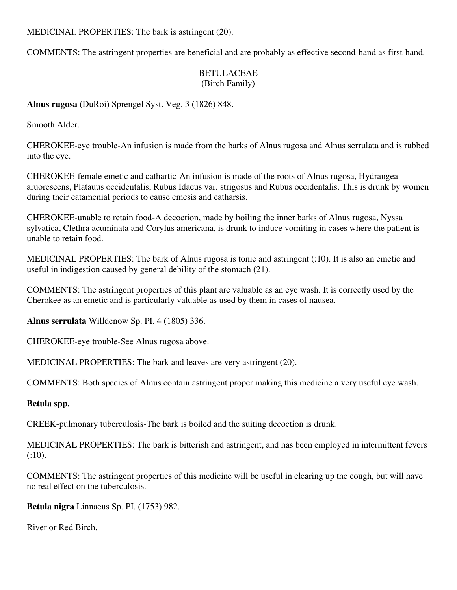MEDlCINAI. PROPERTIES: The bark is astringent (20).

COMMENTS: The astringent properties are beneficial and are probably as effective second-hand as first-hand.

# BETULACEAE (Birch Family)

**Alnus rugosa** (DuRoi) Sprengel Syst. Veg. 3 (1826) 848.

Smooth Alder.

CHEROKEE-eye trouble-An infusion is made from the barks of Alnus rugosa and Alnus serrulata and is rubbed into the eye.

CHEROKEE-female emetic and cathartic-An infusion is made of the roots of Alnus rugosa, Hydrangea aruorescens, Platauus occidentalis, Rubus Idaeus var. strigosus and Rubus occidentalis. This is drunk by women during their catamenial periods to cause emcsis and catharsis.

CHEROKEE-unable to retain food-A decoction, made by boiling the inner barks of Alnus rugosa, Nyssa sylvatica, Clethra acuminata and Corylus americana, is drunk to induce vomiting in cases where the patient is unable to retain food.

MEDlCINAL PROPERTIES: The bark of Alnus rugosa is tonic and astringent (:10). It is also an emetic and useful in indigestion caused by general debility of the stomach (21).

COMMENTS: The astringent properties of this plant are valuable as an eye wash. It is correctly used by the Cherokee as an emetic and is particularly valuable as used by them in cases of nausea.

**Alnus serrulata** Willdenow Sp. PI. 4 (1805) 336.

CHEROKEE-eye trouble-See Alnus rugosa above.

MEDICINAL PROPERTIES: The bark and leaves are very astringent (20).

COMMENTS: Both species of Alnus contain astringent proper making this medicine a very useful eye wash.

# **Betula spp.**

CREEK-pulmonary tuberculosis-The bark is boiled and the suiting decoction is drunk.

MEDICINAL PROPERTIES: The bark is bitterish and astringent, and has been employed in intermittent fevers (:10).

COMMENTS: The astringent properties of this medicine will be useful in clearing up the cough, but will have no real effect on the tuberculosis.

**Betula nigra** Linnaeus Sp. PI. (1753) 982.

River or Red Birch.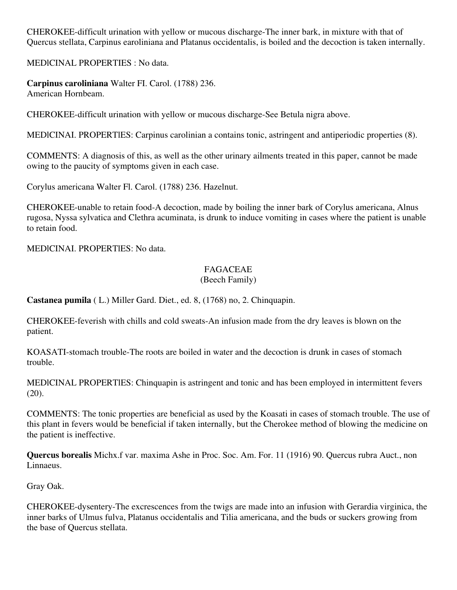CHEROKEE-difficult urination with yellow or mucous discharge-The inner bark, in mixture with that of Quercus stellata, Carpinus earoliniana and Platanus occidentalis, is boiled and the decoction is taken internally.

MEDlCINAL PROPERTIES : No data.

**Carpinus caroliniana** Walter FI. Carol. (1788) 236. American Hornbeam.

CHEROKEE-difficult urination with yellow or mucous discharge-See Betula nigra above.

MEDlCINAI. PROPERTlES: Carpinus carolinian a contains tonic, astringent and antiperiodic properties (8).

COMMENTS: A diagnosis of this, as well as the other urinary ailments treated in this paper, cannot be made owing to the paucity of symptoms given in each case.

Corylus americana Walter Fl. Carol. (1788) 236. Hazelnut.

CHEROKEE-unable to retain food-A decoction, made by boiling the inner bark of Corylus americana, Alnus rugosa, Nyssa sylvatica and Clethra acuminata, is drunk to induce vomiting in cases where the patient is unable to retain food.

MEDlCINAI. PROPERTlES: No data.

# FAGACEAE

#### (Beech Family)

**Castanea pumila** ( L.) Miller Gard. Diet., ed. 8, (1768) no, 2. Chinquapin.

CHEROKEE-feverish with chills and cold sweats-An infusion made from the dry leaves is blown on the patient.

KOASATI-stomach trouble-The roots are boiled in water and the decoction is drunk in cases of stomach trouble.

MEDlCINAL PROPERTlES: Chinquapin is astringent and tonic and has been employed in intermittent fevers (20).

COMMENTS: The tonic properties are beneficial as used by the Koasati in cases of stomach trouble. The use of this plant in fevers would be beneficial if taken internally, but the Cherokee method of blowing the medicine on the patient is ineffective.

**Quercus borealis** Michx.f var. maxima Ashe in Proc. Soc. Am. For. 11 (1916) 90. Quercus rubra Auct., non Linnaeus.

Gray Oak.

CHEROKEE-dysentery-The excrescences from the twigs are made into an infusion with Gerardia virginica, the inner barks of Ulmus fulva, Platanus occidentalis and Tilia americana, and the buds or suckers growing from the base of Quercus stellata.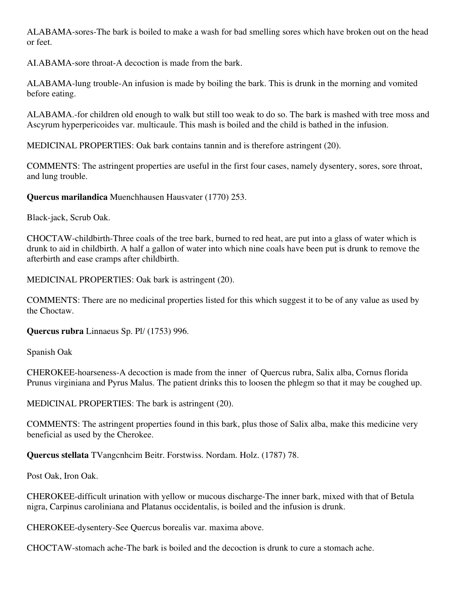ALABAMA-sores-The bark is boiled to make a wash for bad smelling sores which have broken out on the head or feet.

AI.ABAMA-sore throat-A decoction is made from the bark.

ALABAMA-lung trouble-An infusion is made by boiling the bark. This is drunk in the morning and vomited before eating.

ALABAMA.-for children old enough to walk but still too weak to do so. The bark is mashed with tree moss and Ascyrum hyperpericoides var. multicaule. This mash is boiled and the child is bathed in the infusion.

MEDICINAL PROPERTlES: Oak bark contains tannin and is therefore astringent (20).

COMMENTS: The astringent properties are useful in the first four cases, namely dysentery, sores, sore throat, and lung trouble.

**Quercus marilandica** Muenchhausen Hausvater (1770) 253.

Black-jack, Scrub Oak.

CHOCTAW-childbirth-Three coals of the tree bark, burned to red heat, are put into a glass of water which is drunk to aid in childbirth. A half a gallon of water into which nine coals have been put is drunk to remove the afterbirth and ease cramps after childbirth.

MEDICINAL PROPERTlES: Oak bark is astringent (20).

COMMENTS: There are no medicinal properties listed for this which suggest it to be of any value as used by the Choctaw.

**Quercus rubra** Linnaeus Sp. Pl/ (1753) 996.

Spanish Oak

CHEROKEE-hoarseness-A decoction is made from the inner of Quercus rubra, Salix alba, Cornus florida Prunus virginiana and Pyrus Malus. The patient drinks this to loosen the phlegm so that it may be coughed up.

MEDlCINAL PROPERTIES: The bark is astringent (20).

COMMENTS: The astringent properties found in this bark, plus those of Salix alba, make this medicine very beneficial as used by the Cherokee.

**Quercus stellata** TVangcnhcim Beitr. Forstwiss. Nordam. Holz. (1787) 78.

Post Oak, Iron Oak.

CHEROKEE-difficult urination with yellow or mucous discharge-The inner bark, mixed with that of Betula nigra, Carpinus caroliniana and Platanus occidentalis, is boiled and the infusion is drunk.

CHEROKEE-dysentery-See Quercus borealis var. maxima above.

CHOCTAW-stomach ache-The bark is boiled and the decoction is drunk to cure a stomach ache.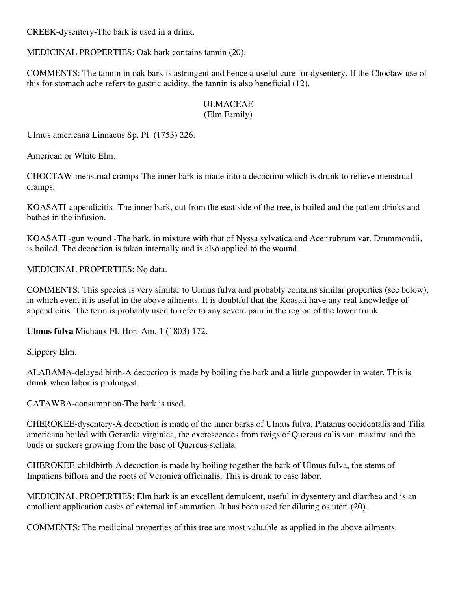CREEK-dysentery-The bark is used in a drink.

MEDICINAL PROPERTIES: Oak bark contains tannin (20).

COMMENTS: The tannin in oak bark is astringent and hence a useful cure for dysentery. If the Choctaw use of this for stomach ache refers to gastric acidity, the tannin is also beneficial (12).

#### ULMACEAE (Elm Family)

Ulmus americana Linnaeus Sp. PI. (1753) 226.

American or White Elm.

CHOCTAW-menstrual cramps-The inner bark is made into a decoction which is drunk to relieve menstrual cramps.

KOASATI-appendicitis- The inner bark, cut from the east side of the tree, is boiled and the patient drinks and bathes in the infusion.

KOASATI -gun wound -The bark, in mixture with that of Nyssa sylvatica and Acer rubrum var. Drummondii, is boiled. The decoction is taken internally and is also applied to the wound.

MEDICINAL PROPERTIES: No data.

COMMENTS: This species is very similar to Ulmus fulva and probably contains similar properties (see below), in which event it is useful in the above ailments. It is doubtful that the Koasati have any real knowledge of appendicitis. The term is probably used to refer to any severe pain in the region of the lower trunk.

**Ulmus fulva** Michaux FI. Hor.-Am. 1 (1803) 172.

Slippery Elm.

ALABAMA-delayed birth-A decoction is made by boiling the bark and a little gunpowder in water. This is drunk when labor is prolonged.

CATAWBA-consumption-The bark is used.

CHEROKEE-dysentery-A decoction is made of the inner barks of Ulmus fulva, Platanus occidentalis and Tilia americana boiled with Gerardia virginica, the excrescences from twigs of Quercus calis var. maxima and the buds or suckers growing from the base of Quercus stellata.

CHEROKEE-childbirth-A decoction is made by boiling together the bark of Ulmus fulva, the stems of Impatiens biflora and the roots of Veronica officinalis. This is drunk to ease labor.

MEDICINAL PROPERTIES: Elm bark is an excellent demulcent, useful in dysentery and diarrhea and is an emollient application cases of external inflammation. It has been used for dilating os uteri (20).

COMMENTS: The medicinal properties of this tree are most valuable as applied in the above ailments.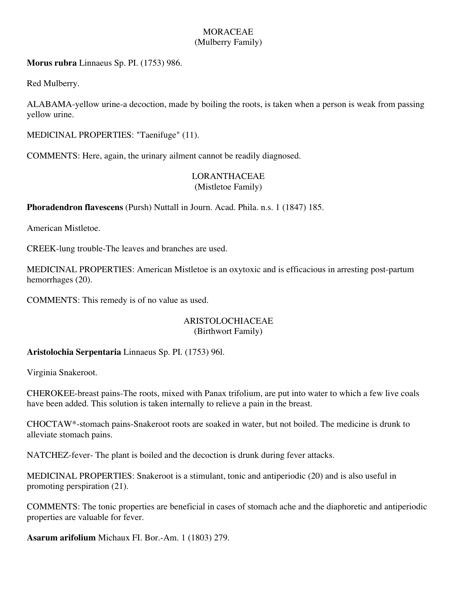# **MORACEAE** (Mulberry Family)

**Morus rubra** Linnaeus Sp. PI. (1753) 986.

Red Mulberry.

ALABAMA-yellow urine-a decoction, made by boiling the roots, is taken when a person is weak from passing yellow urine.

MEDlCINAL PROPERTIES: "Taenifuge" (11).

COMMENTS: Here, again, the urinary ailment cannot be readily diagnosed.

#### LORANTHACEAE (Mistletoe Family)

**Phoradendron flavescens** (Pursh) Nuttall in Journ. Acad. Phila. n.s. 1 (1847) 185.

American Mistletoe.

CREEK-lung trouble-The leaves and branches are used.

MEDICINAL PROPERTIES: American Mistletoe is an oxytoxic and is efficacious in arresting post-partum hemorrhages (20).

COMMENTS: This remedy is of no value as used.

#### ARISTOLOCHIACEAE (Birthwort Family)

# **Aristolochia Serpentaria** Linnaeus Sp. PI. (1753) 96l.

Virginia Snakeroot.

CHEROKEE-breast pains-The roots, mixed with Panax trifolium, are put into water to which a few live coals have been added. This solution is taken internally to relieve a pain in the breast.

CHOCTAW\*-stomach pains-Snakeroot roots are soaked in water, but not boiled. The medicine is drunk to alleviate stomach pains.

NATCHEZ-fever- The plant is boiled and the decoction is drunk during fever attacks.

MEDICINAL PROPERTIES: Snakeroot is a stimulant, tonic and antiperiodic (20) and is also useful in promoting perspiration (21).

COMMENTS: The tonic properties are beneficial in cases of stomach ache and the diaphoretic and antiperiodic properties are valuable for fever.

**Asarum arifolium** Michaux FI. Bor.-Am. 1 (1803) 279.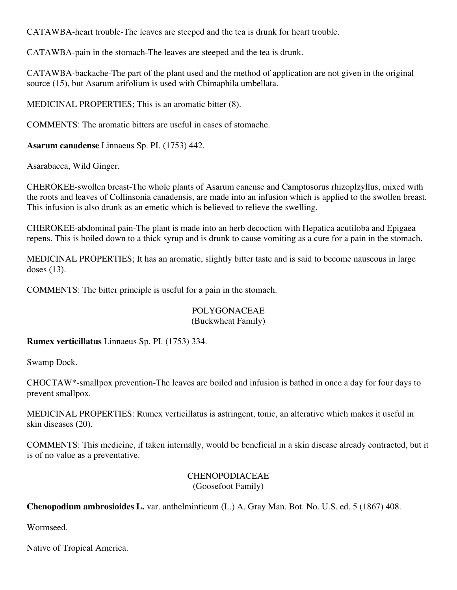CATAWBA-heart trouble-The leaves are steeped and the tea is drunk for heart trouble.

CATAWBA-pain in the stomach-The leaves are steeped and the tea is drunk.

CATAWBA-backache-The part of the plant used and the method of application are not given in the original source (15), but Asarum arifolium is used with Chimaphila umbellata.

MEDICINAL PROPERTIES; This is an aromatic bitter (8).

COMMENTS: The aromatic bitters are useful in cases of stomache.

**Asarum canadense** Linnaeus Sp. PI. (1753) 442.

Asarabacca, Wild Ginger.

CHEROKEE-swollen breast-The whole plants of Asarum canense and Camptosorus rhizoplzyllus, mixed with the roots and leaves of Collinsonia canadensis, are made into an infusion which is applied to the swollen breast. This infusion is also drunk as an emetic which is believed to relieve the swelling.

CHEROKEE-abdominal pain-The plant is made into an herb decoction with Hepatica acutiloba and Epigaea repens. This is boiled down to a thick syrup and is drunk to cause vomiting as a cure for a pain in the stomach.

MEDICINAL PROPERTIES; It has an aromatic, slightly bitter taste and is said to become nauseous in large doses (13).

COMMENTS: The bitter principle is useful for a pain in the stomach.

# POLYGONACEAE

#### (Buckwheat Family)

**Rumex verticillatus** Linnaeus Sp. PI. (1753) 334.

Swamp Dock.

CHOCTAW\*-smallpox prevention-The leaves are boiled and infusion is bathed in once a day for four days to prevent smallpox.

MEDICINAL PROPERTIES: Rumex verticillatus is astringent, tonic, an alterative which makes it useful in skin diseases (20).

COMMENTS: This medicine, if taken internally, would be beneficial in a skin disease already contracted, but it is of no value as a preventative.

# CHENOPODIACEAE (Goosefoot Family)

**Chenopodium ambrosioides L.** var. anthelminticum (L.) A. Gray Man. Bot. No. U.S. ed. 5 (1867) 408.

Wormseed.

Native of Tropical America.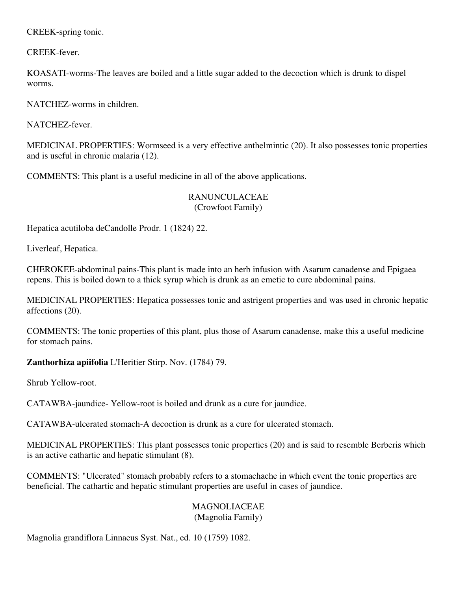CREEK-spring tonic.

CREEK-fever.

KOASATI-worms-The leaves are boiled and a little sugar added to the decoction which is drunk to dispel worms.

NATCHEZ-worms in children.

NATCHEZ-fever.

MEDICINAL PROPERTIES: Wormseed is a very effective anthelmintic (20). It also possesses tonic properties and is useful in chronic malaria (12).

COMMENTS: This plant is a useful medicine in all of the above applications.

RANUNCULACEAE (Crowfoot Family)

Hepatica acutiloba deCandolle Prodr. 1 (1824) 22.

Liverleaf, Hepatica.

CHEROKEE-abdominal pains-This plant is made into an herb infusion with Asarum canadense and Epigaea repens. This is boiled down to a thick syrup which is drunk as an emetic to cure abdominal pains.

MEDICINAL PROPERTIES: Hepatica possesses tonic and astrigent properties and was used in chronic hepatic affections (20).

COMMENTS: The tonic properties of this plant, plus those of Asarum canadense, make this a useful medicine for stomach pains.

**Zanthorhiza apiifolia** L'Heritier Stirp. Nov. (1784) 79.

Shrub Yellow-root.

CATAWBA-jaundice- Yellow-root is boiled and drunk as a cure for jaundice.

CATAWBA-ulcerated stomach-A decoction is drunk as a cure for ulcerated stomach.

MEDICINAL PROPERTIES: This plant possesses tonic properties (20) and is said to resemble Berberis which is an active cathartic and hepatic stimulant (8).

COMMENTS: "Ulcerated" stomach probably refers to a stomachache in which event the tonic properties are beneficial. The cathartic and hepatic stimulant properties are useful in cases of jaundice.

#### MAGNOLIACEAE (Magnolia Family)

Magnolia grandiflora Linnaeus Syst. Nat., ed. 10 (1759) 1082.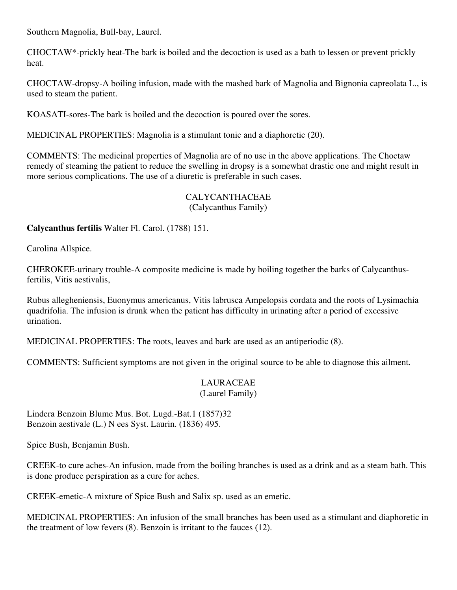Southern Magnolia, Bull-bay, Laurel.

CHOCTAW\*-prickly heat-The bark is boiled and the decoction is used as a bath to lessen or prevent prickly heat.

CHOCTAW-dropsy-A boiling infusion, made with the mashed bark of Magnolia and Bignonia capreolata L., is used to steam the patient.

KOASATI-sores-The bark is boiled and the decoction is poured over the sores.

MEDICINAL PROPERTIES: Magnolia is a stimulant tonic and a diaphoretic (20).

COMMENTS: The medicinal properties of Magnolia are of no use in the above applications. The Choctaw remedy of steaming the patient to reduce the swelling in dropsy is a somewhat drastic one and might result in more serious complications. The use of a diuretic is preferable in such cases.

# CALYCANTHACEAE

(Calycanthus Family)

**Calycanthus fertilis** Walter Fl. Carol. (1788) 151.

Carolina Allspice.

CHEROKEE-urinary trouble-A composite medicine is made by boiling together the barks of Calycanthusfertilis, Vitis aestivalis,

Rubus allegheniensis, Euonymus americanus, Vitis labrusca Ampelopsis cordata and the roots of Lysimachia quadrifolia. The infusion is drunk when the patient has difficulty in urinating after a period of excessive urination.

MEDICINAL PROPERTIES: The roots, leaves and bark are used as an antiperiodic (8).

COMMENTS: Sufficient symptoms are not given in the original source to be able to diagnose this ailment.

#### LAURACEAE (Laurel Family)

Lindera Benzoin Blume Mus. Bot. Lugd.-Bat.1 (1857)32 Benzoin aestivale (L.) N ees Syst. Laurin. (1836) 495.

Spice Bush, Benjamin Bush.

CREEK-to cure aches-An infusion, made from the boiling branches is used as a drink and as a steam bath. This is done produce perspiration as a cure for aches.

CREEK-emetic-A mixture of Spice Bush and Salix sp. used as an emetic.

MEDICINAL PROPERTIES: An infusion of the small branches has been used as a stimulant and diaphoretic in the treatment of low fevers (8). Benzoin is irritant to the fauces (12).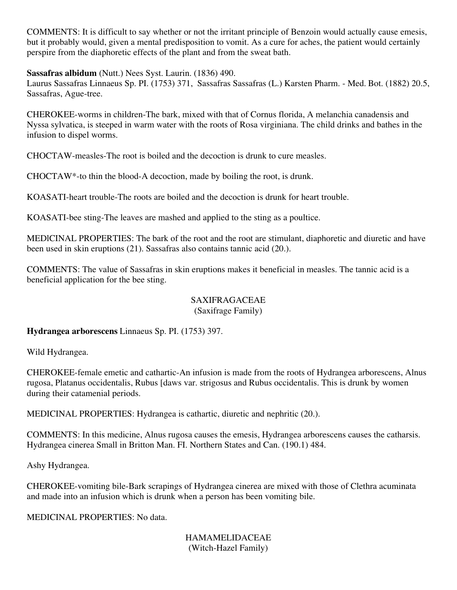COMMENTS: It is difficult to say whether or not the irritant principle of Benzoin would actually cause emesis, but it probably would, given a mental predisposition to vomit. As a cure for aches, the patient would certainly perspire from the diaphoretic effects of the plant and from the sweat bath.

# **Sassafras albidum** (Nutt.) Nees Syst. Laurin. (1836) 490.

Laurus Sassafras Linnaeus Sp. PI. (1753) 371, Sassafras Sassafras (L.) Karsten Pharm. - Med. Bot. (1882) 20.5, Sassafras, Ague-tree.

CHEROKEE-worms in children-The bark, mixed with that of Cornus florida, A melanchia canadensis and Nyssa sylvatica, is steeped in warm water with the roots of Rosa virginiana. The child drinks and bathes in the infusion to dispel worms.

CHOCTAW-measles-The root is boiled and the decoction is drunk to cure measles.

CHOCTAW\*-to thin the blood-A decoction, made by boiling the root, is drunk.

KOASATI-heart trouble-The roots are boiled and the decoction is drunk for heart trouble.

KOASATI-bee sting-The leaves are mashed and applied to the sting as a poultice.

MEDlCINAL PROPERTIES: The bark of the root and the root are stimulant, diaphoretic and diuretic and have been used in skin eruptions (21). Sassafras also contains tannic acid (20.).

COMMENTS: The value of Sassafras in skin eruptions makes it beneficial in measles. The tannic acid is a beneficial application for the bee sting.

#### SAXIFRAGACEAE (Saxifrage Family)

**Hydrangea arborescens** Linnaeus Sp. PI. (1753) 397.

Wild Hydrangea.

CHEROKEE-female emetic and cathartic-An infusion is made from the roots of Hydrangea arborescens, Alnus rugosa, Platanus occidentalis, Rubus [daws var. strigosus and Rubus occidentalis. This is drunk by women during their catamenial periods.

MEDICINAL PROPERTIES: Hydrangea is cathartic, diuretic and nephritic (20.).

COMMENTS: In this medicine, Alnus rugosa causes the emesis, Hydrangea arborescens causes the catharsis. Hydrangea cinerea Small in Britton Man. FI. Northern States and Can. (190.1) 484.

Ashy Hydrangea.

CHEROKEE-vomiting bile-Bark scrapings of Hydrangea cinerea are mixed with those of Clethra acuminata and made into an infusion which is drunk when a person has been vomiting bile.

MEDICINAL PROPERTIES: No data.

HAMAMELIDACEAE (Witch-Hazel Family)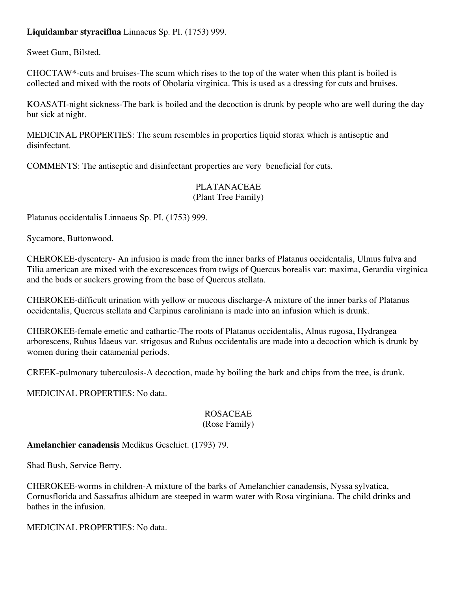# **Liquidambar styraciflua** Linnaeus Sp. PI. (1753) 999.

Sweet Gum, Bilsted.

CHOCTAW\*-cuts and bruises-The scum which rises to the top of the water when this plant is boiled is collected and mixed with the roots of Obolaria virginica. This is used as a dressing for cuts and bruises.

KOASATI-night sickness-The bark is boiled and the decoction is drunk by people who are well during the day but sick at night.

MEDICINAL PROPERTIES: The scum resembles in properties liquid storax which is antiseptic and disinfectant.

COMMENTS: The antiseptic and disinfectant properties are very beneficial for cuts.

#### PLATANACEAE (Plant Tree Family)

Platanus occidentalis Linnaeus Sp. PI. (1753) 999.

Sycamore, Buttonwood.

CHEROKEE-dysentery- An infusion is made from the inner barks of Platanus oceidentalis, Ulmus fulva and Tilia american are mixed with the excrescences from twigs of Quercus borealis var: maxima, Gerardia virginica and the buds or suckers growing from the base of Quercus stellata.

CHEROKEE-difficult urination with yellow or mucous discharge-A mixture of the inner barks of Platanus occidentalis, Quercus stellata and Carpinus caroliniana is made into an infusion which is drunk.

CHEROKEE-female emetic and cathartic-The roots of Platanus occidentalis, Alnus rugosa, Hydrangea arborescens, Rubus Idaeus var. strigosus and Rubus occidentalis are made into a decoction which is drunk by women during their catamenial periods.

CREEK-pulmonary tuberculosis-A decoction, made by boiling the bark and chips from the tree, is drunk.

MEDICINAL PROPERTIES: No data.

#### ROSACEAE (Rose Family)

# **Amelanchier canadensis** Medikus Geschict. (1793) 79.

Shad Bush, Service Berry.

CHEROKEE-worms in children-A mixture of the barks of Amelanchier canadensis, Nyssa sylvatica, Cornusflorida and Sassafras albidum are steeped in warm water with Rosa virginiana. The child drinks and bathes in the infusion.

MEDICINAL PROPERTIES: No data.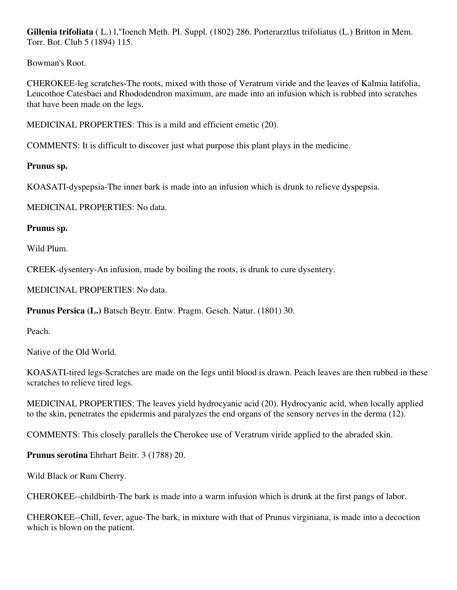**Gillenia trifoliata** ( L.) l,"Ioench Meth. PI. Suppl. (1802) 286. Porterarztlus trifoliatus (L.) Britton in Mem. Torr. Bot. Club 5 (1894) 115.

Bowman's Root.

CHEROKEE-leg scratches-The roots, mixed with those of Veratrum viride and the leaves of Kalmia latifolia, Leucothoe Catesbaei and Rhododendron maximum, are made into an infusion which is rubbed into scratches that have been made on the legs.

MEDICINAL PROPERTIES: This is a mild and efficient emetic (20).

COMMENTS: It is difficult to discover just what purpose this plant plays in the medicine.

**Prunus sp.**

KOASATI-dyspepsia-The inner bark is made into an infusion which is drunk to relieve dyspepsia.

MEDICINAL PROPERTIES: No data.

**Prunus sp.**

Wild Plum.

CREEK-dysentery-An infusion, made by boiling the roots, is drunk to cure dysentery.

MEDICINAL PROPERTIES: No data.

**Prunus Persica (L.)** Batsch Beytr. Entw. Pragm. Gesch. Natur. (1801) 30.

Peach.

Native of the Old World.

KOASATI-tired legs-Scratches are made on the legs until blood is drawn. Peach leaves are then rubbed in these scratches to relieve tired legs.

MEDICINAL PROPERTIES: The leaves yield hydrocyanic acid (20). Hydrocyanic acid, when locally applied to the skin, penetrates the epidermis and paralyzes the end organs of the sensory nerves in the derma (12).

COMMENTS: This closely parallels the Cherokee use of Veratrum viride applied to the abraded skin.

**Prunus serotina** Ehrhart Beitr. 3 (1788) 20.

Wild Black or Rum Cherry.

CHEROKEE--childbirth-The bark is made into a warm infusion which is drunk at the first pangs of labor.

CHEROKEE--Chill, fever, ague-The bark, in mixture with that of Prunus virginiana, is made into a decoction which is blown on the patient.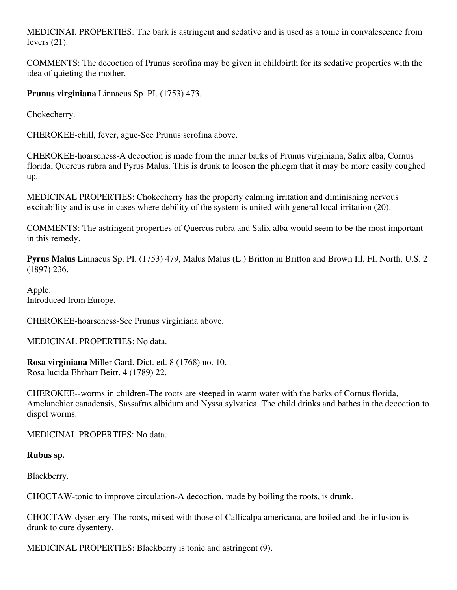MEDICINAI. PROPERTIES: The bark is astringent and sedative and is used as a tonic in convalescence from fevers  $(21)$ .

COMMENTS: The decoction of Prunus serofina may be given in childbirth for its sedative properties with the idea of quieting the mother.

**Prunus virginiana** Linnaeus Sp. PI. (1753) 473.

Chokecherry.

CHEROKEE-chill, fever, ague-See Prunus serofina above.

CHEROKEE-hoarseness-A decoction is made from the inner barks of Prunus virginiana, Salix alba, Cornus florida, Quercus rubra and Pyrus Malus. This is drunk to loosen the phlegm that it may be more easily coughed up.

MEDICINAL PROPERTIES: Chokecherry has the property calming irritation and diminishing nervous excitability and is use in cases where debility of the system is united with general local irritation (20).

COMMENTS: The astringent properties of Quercus rubra and Salix alba would seem to be the most important in this remedy.

**Pyrus Malus** Linnaeus Sp. PI. (1753) 479, Malus Malus (L.) Britton in Britton and Brown Ill. FI. North. U.S. 2 (1897) 236.

Apple. Introduced from Europe.

CHEROKEE-hoarseness-See Prunus virginiana above.

MEDICINAL PROPERTIES: No data.

**Rosa virginiana** Miller Gard. Dict. ed. 8 (1768) no. 10. Rosa lucida Ehrhart Beitr. 4 (1789) 22.

CHEROKEE--worms in children-The roots are steeped in warm water with the barks of Cornus florida, Amelanchier canadensis, Sassafras albidum and Nyssa sylvatica. The child drinks and bathes in the decoction to dispel worms.

MEDlCINAL PROPERTIES: No data.

# **Rubus sp.**

Blackberry.

CHOCTAW-tonic to improve circulation-A decoction, made by boiling the roots, is drunk.

CHOCTAW-dysentery-The roots, mixed with those of Callicalpa americana, are boiled and the infusion is drunk to cure dysentery.

MEDICINAL PROPERTIES: Blackberry is tonic and astringent (9).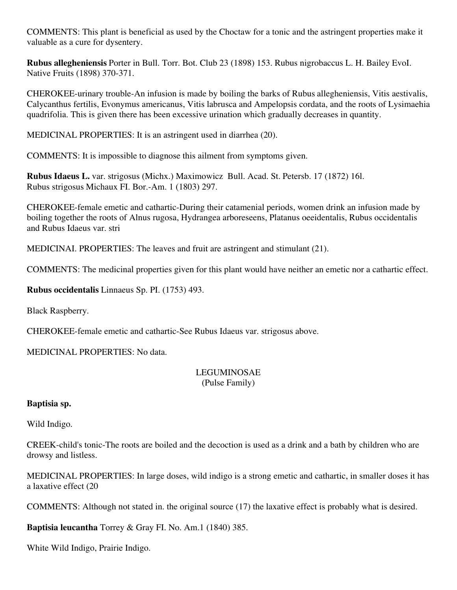COMMENTS: This plant is beneficial as used by the Choctaw for a tonic and the astringent properties make it valuable as a cure for dysentery.

**Rubus allegheniensis** Porter in Bull. Torr. Bot. Club 23 (1898) 153. Rubus nigrobaccus L. H. Bailey EvoI. Native Fruits (1898) 370-371.

CHEROKEE-urinary trouble-An infusion is made by boiling the barks of Rubus allegheniensis, Vitis aestivalis, Calycanthus fertilis, Evonymus americanus, Vitis labrusca and Ampelopsis cordata, and the roots of Lysimaehia quadrifolia. This is given there has been excessive urination which gradually decreases in quantity.

MEDICINAL PROPERTIES: It is an astringent used in diarrhea (20).

COMMENTS: It is impossible to diagnose this ailment from symptoms given.

**Rubus Idaeus L.** var. strigosus (Michx.) Maximowicz Bull. Acad. St. Petersb. 17 (1872) 16l. Rubus strigosus Michaux FI. Bor.-Am. 1 (1803) 297.

CHEROKEE-female emetic and cathartic-During their catamenial periods, women drink an infusion made by boiling together the roots of Alnus rugosa, Hydrangea arboreseens, Platanus oeeidentalis, Rubus occidentalis and Rubus Idaeus var. stri

MEDICINAI. PROPERTIES: The leaves and fruit are astringent and stimulant (21).

COMMENTS: The medicinal properties given for this plant would have neither an emetic nor a cathartic effect.

**Rubus occidentalis** Linnaeus Sp. PI. (1753) 493.

Black Raspberry.

CHEROKEE-female emetic and cathartic-See Rubus Idaeus var. strigosus above.

MEDICINAL PROPERTIES: No data.

# LEGUMINOSAE (Pulse Family)

# **Baptisia sp.**

Wild Indigo.

CREEK-child's tonic-The roots are boiled and the decoction is used as a drink and a bath by children who are drowsy and listless.

MEDICINAL PROPERTIES: In large doses, wild indigo is a strong emetic and cathartic, in smaller doses it has a laxative effect (20

COMMENTS: Although not stated in. the original source (17) the laxative effect is probably what is desired.

**Baptisia leucantha** Torrey & Gray FI. No. Am.1 (1840) 385.

White Wild Indigo, Prairie Indigo.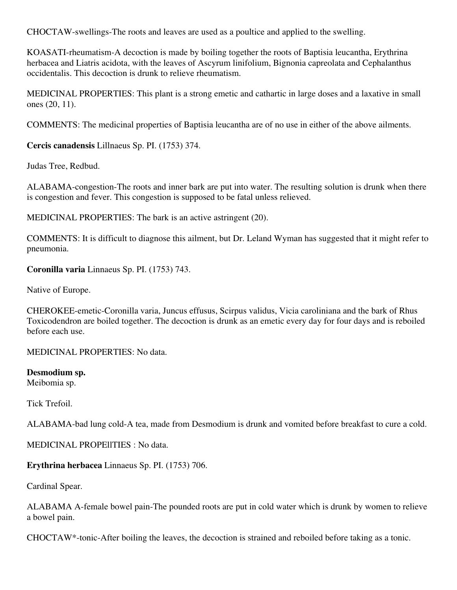CHOCTAW-swellings-The roots and leaves are used as a poultice and applied to the swelling.

KOASATI-rheumatism-A decoction is made by boiling together the roots of Baptisia leucantha, Erythrina herbacea and Liatris acidota, with the leaves of Ascyrum linifolium, Bignonia capreolata and Cephalanthus occidentalis. This decoction is drunk to relieve rheumatism.

MEDICINAL PROPERTIES: This plant is a strong emetic and cathartic in large doses and a laxative in small ones (20, 11).

COMMENTS: The medicinal properties of Baptisia leucantha are of no use in either of the above ailments.

**Cercis canadensis** Lillnaeus Sp. PI. (1753) 374.

Judas Tree, Redbud.

ALABAMA-congestion-The roots and inner bark are put into water. The resulting solution is drunk when there is congestion and fever. This congestion is supposed to be fatal unless relieved.

MEDICINAL PROPERTIES: The bark is an active astringent (20).

COMMENTS: It is difficult to diagnose this ailment, but Dr. Leland Wyman has suggested that it might refer to pneumonia.

**Coronilla varia** Linnaeus Sp. PI. (1753) 743.

Native of Europe.

CHEROKEE-emetic-Coronilla varia, Juncus effusus, Scirpus validus, Vicia caroliniana and the bark of Rhus Toxicodendron are boiled together. The decoction is drunk as an emetic every day for four days and is reboiled before each use.

MEDICINAL PROPERTIES: No data.

**Desmodium sp.**

Meibomia sp.

Tick Trefoil.

ALABAMA-bad lung cold-A tea, made from Desmodium is drunk and vomited before breakfast to cure a cold.

MEDICINAL PROPEllTIES : No data.

**Erythrina herbacea** Linnaeus Sp. PI. (1753) 706.

Cardinal Spear.

ALABAMA A-female bowel pain-The pounded roots are put in cold water which is drunk by women to relieve a bowel pain.

CHOCTAW\*-tonic-After boiling the leaves, the decoction is strained and reboiled before taking as a tonic.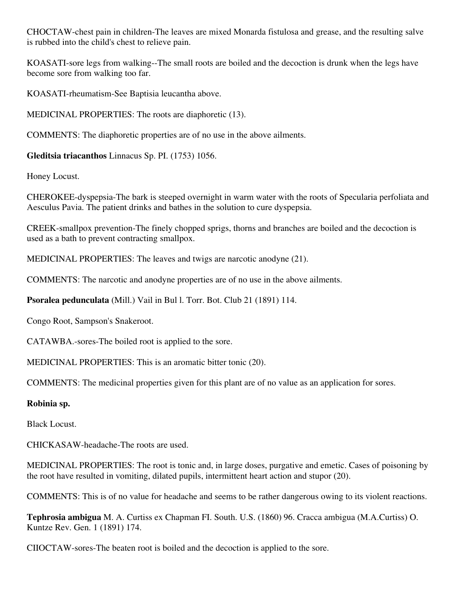CHOCTAW-chest pain in children-The leaves are mixed Monarda fistulosa and grease, and the resulting salve is rubbed into the child's chest to relieve pain.

KOASATI-sore legs from walking--The small roots are boiled and the decoction is drunk when the legs have become sore from walking too far.

KOASATI-rheumatism-See Baptisia leucantha above.

MEDICINAL PROPERTIES: The roots are diaphoretic (13).

COMMENTS: The diaphoretic properties are of no use in the above ailments.

**Gleditsia triacanthos** Linnacus Sp. PI. (1753) 1056.

Honey Locust.

CHEROKEE-dyspepsia-The bark is steeped overnight in warm water with the roots of Specularia perfoliata and Aesculus Pavia. The patient drinks and bathes in the solution to cure dyspepsia.

CREEK-smallpox prevention-The finely chopped sprigs, thorns and branches are boiled and the decoction is used as a bath to prevent contracting smallpox.

MEDICINAL PROPERTIES: The leaves and twigs are narcotic anodyne (21).

COMMENTS: The narcotic and anodyne properties are of no use in the above ailments.

**Psoralea pedunculata** (Mill.) Vail in Bul l. Torr. Bot. Club 21 (1891) 114.

Congo Root, Sampson's Snakeroot.

CATAWBA.-sores-The boiled root is applied to the sore.

MEDICINAL PROPERTIES: This is an aromatic bitter tonic (20).

COMMENTS: The medicinal properties given for this plant are of no value as an application for sores.

# **Robinia sp.**

Black Locust.

CHICKASAW-headache-The roots are used.

MEDICINAL PROPERTIES: The root is tonic and, in large doses, purgative and emetic. Cases of poisoning by the root have resulted in vomiting, dilated pupils, intermittent heart action and stupor (20).

COMMENTS: This is of no value for headache and seems to be rather dangerous owing to its violent reactions.

**Tephrosia ambigua** M. A. Curtiss ex Chapman FI. South. U.S. (1860) 96. Cracca ambigua (M.A.Curtiss) O. Kuntze Rev. Gen. 1 (1891) 174.

CIIOCTAW-sores-The beaten root is boiled and the decoction is applied to the sore.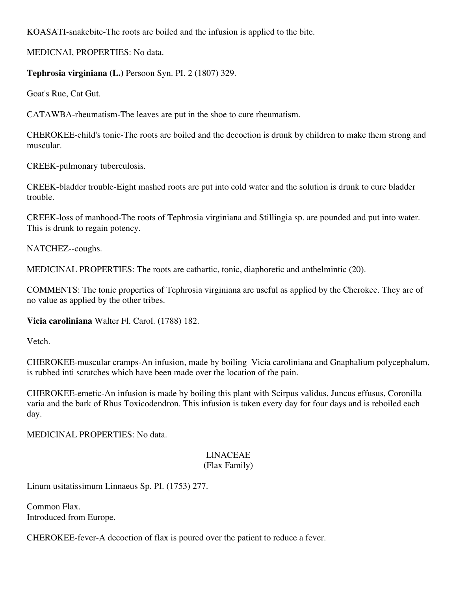KOASATI-snakebite-The roots are boiled and the infusion is applied to the bite.

MEDICNAI, PROPERTIES: No data.

# **Tephrosia virginiana (L.)** Persoon Syn. PI. 2 (1807) 329.

Goat's Rue, Cat Gut.

CATAWBA-rheumatism-The leaves are put in the shoe to cure rheumatism.

CHEROKEE-child's tonic-The roots are boiled and the decoction is drunk by children to make them strong and muscular.

CREEK-pulmonary tuberculosis.

CREEK-bladder trouble-Eight mashed roots are put into cold water and the solution is drunk to cure bladder trouble.

CREEK-loss of manhood-The roots of Tephrosia virginiana and Stillingia sp. are pounded and put into water. This is drunk to regain potency.

NATCHEZ--coughs.

MEDICINAL PROPERTIES: The roots are cathartic, tonic, diaphoretic and anthelmintic (20).

COMMENTS: The tonic properties of Tephrosia virginiana are useful as applied by the Cherokee. They are of no value as applied by the other tribes.

**Vicia caroliniana** Walter Fl. Carol. (1788) 182.

Vetch.

CHEROKEE-muscular cramps-An infusion, made by boiling Vicia caroliniana and Gnaphalium polycephalum, is rubbed inti scratches which have been made over the location of the pain.

CHEROKEE-emetic-An infusion is made by boiling this plant with Scirpus validus, Juncus effusus, Coronilla varia and the bark of Rhus Toxicodendron. This infusion is taken every day for four days and is reboiled each day.

MEDICINAL PROPERTIES: No data.

#### LlNACEAE (Flax Family)

Linum usitatissimum Linnaeus Sp. PI. (1753) 277.

Common Flax. Introduced from Europe.

CHEROKEE-fever-A decoction of flax is poured over the patient to reduce a fever.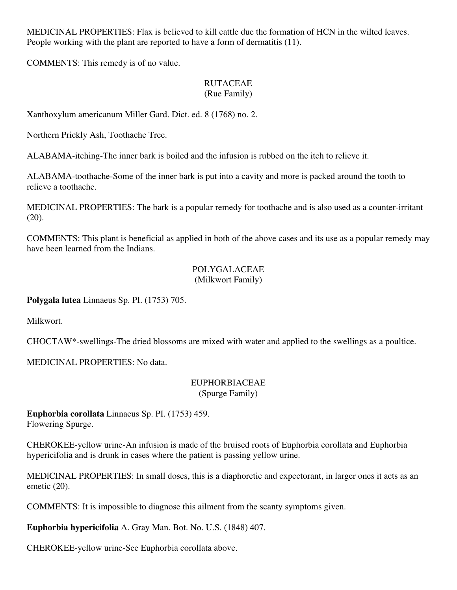MEDICINAL PROPERTIES: Flax is believed to kill cattle due the formation of HCN in the wilted leaves. People working with the plant are reported to have a form of dermatitis (11).

COMMENTS: This remedy is of no value.

#### RUTACEAE (Rue Family)

Xanthoxylum americanum Miller Gard. Dict. ed. 8 (1768) no. 2.

Northern Prickly Ash, Toothache Tree.

ALABAMA-itching-The inner bark is boiled and the infusion is rubbed on the itch to relieve it.

ALABAMA-toothache-Some of the inner bark is put into a cavity and more is packed around the tooth to relieve a toothache.

MEDICINAL PROPERTIES: The bark is a popular remedy for toothache and is also used as a counter-irritant (20).

COMMENTS: This plant is beneficial as applied in both of the above cases and its use as a popular remedy may have been learned from the Indians.

#### POLYGALACEAE (Milkwort Family)

**Polygala lutea** Linnaeus Sp. PI. (1753) 705.

Milkwort.

CHOCTAW\*-swellings-The dried blossoms are mixed with water and applied to the swellings as a poultice.

MEDICINAL PROPERTIES: No data.

#### EUPHORBIACEAE (Spurge Family)

**Euphorbia corollata** Linnaeus Sp. PI. (1753) 459. Flowering Spurge.

CHEROKEE-yellow urine-An infusion is made of the bruised roots of Euphorbia corollata and Euphorbia hypericifolia and is drunk in cases where the patient is passing yellow urine.

MEDlCINAL PROPERTIES: In small doses, this is a diaphoretic and expectorant, in larger ones it acts as an emetic (20).

COMMENTS: It is impossible to diagnose this ailment from the scanty symptoms given.

**Euphorbia hypericifolia** A. Gray Man. Bot. No. U.S. (1848) 407.

CHEROKEE-yellow urine-See Euphorbia corollata above.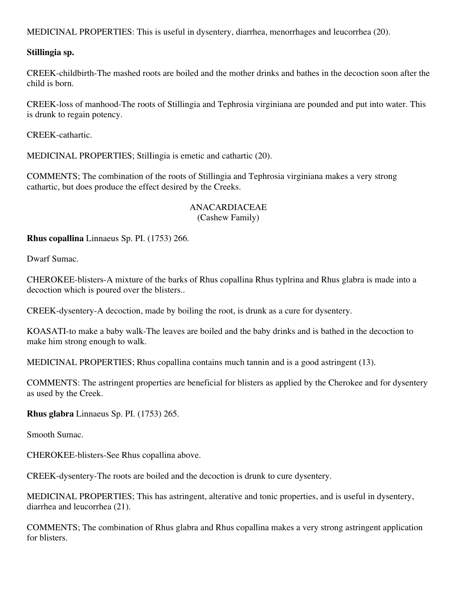MEDICINAL PROPERTIES: This is useful in dysentery, diarrhea, menorrhages and leucorrhea (20).

# **Stillingia sp.**

CREEK-childbirth-The mashed roots are boiled and the mother drinks and bathes in the decoction soon after the child is born.

CREEK-loss of manhood-The roots of Stillingia and Tephrosia virginiana are pounded and put into water. This is drunk to regain potency.

CREEK-cathartic.

MEDICINAL PROPERTIES; StilIingia is emetic and cathartic (20).

COMMENTS; The combination of the roots of Stillingia and Tephrosia virginiana makes a very strong cathartic, but does produce the effect desired by the Creeks.

#### ANACARDIACEAE (Cashew Family)

**Rhus copallina** Linnaeus Sp. PI. (1753) 266.

Dwarf Sumac.

CHEROKEE-blisters-A mixture of the barks of Rhus copallina Rhus typlrina and Rhus glabra is made into a decoction which is poured over the blisters..

CREEK-dysentery-A decoction, made by boiling the root, is drunk as a cure for dysentery.

KOASATI-to make a baby walk-The leaves are boiled and the baby drinks and is bathed in the decoction to make him strong enough to walk.

MEDICINAL PROPERTIES; Rhus copallina contains much tannin and is a good astringent (13).

COMMENTS: The astringent properties are beneficial for blisters as applied by the Cherokee and for dysentery as used by the Creek.

**Rhus glabra** Linnaeus Sp. PI. (1753) 265.

Smooth Sumac.

CHEROKEE-blisters-See Rhus copallina above.

CREEK-dysentery-The roots are boiled and the decoction is drunk to cure dysentery.

MEDICINAL PROPERTIES; This has astringent, alterative and tonic properties, and is useful in dysentery, diarrhea and leucorrhea (21).

COMMENTS; The combination of Rhus glabra and Rhus copallina makes a very strong astringent application for blisters.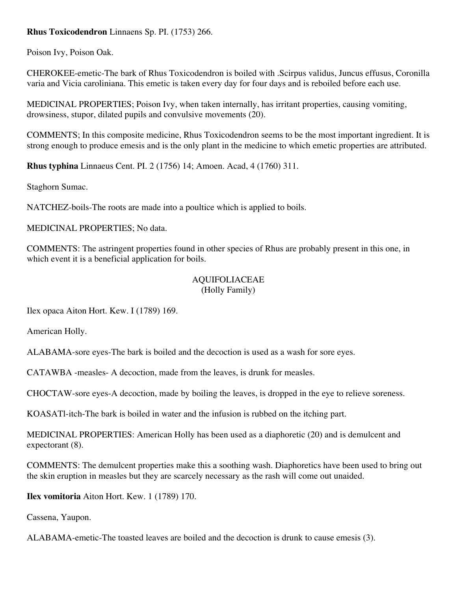# **Rhus Toxicodendron** Linnaens Sp. PI. (1753) 266.

Poison Ivy, Poison Oak.

CHEROKEE-emetic-The bark of Rhus Toxicodendron is boiled with .Scirpus validus, Juncus effusus, Coronilla varia and Vicia caroliniana. This emetic is taken every day for four days and is reboiled before each use.

MEDlCINAL PROPERTIES; Poison Ivy, when taken internally, has irritant properties, causing vomiting, drowsiness, stupor, dilated pupils and convulsive movements (20).

COMMENTS; In this composite medicine, Rhus Toxicodendron seems to be the most important ingredient. It is strong enough to produce emesis and is the only plant in the medicine to which emetic properties are attributed.

**Rhus typhina** Linnaeus Cent. PI. 2 (1756) 14; Amoen. Acad, 4 (1760) 311.

Staghorn Sumac.

NATCHEZ-boils-The roots are made into a poultice which is applied to boils.

MEDICINAL PROPERTIES; No data.

COMMENTS: The astringent properties found in other species of Rhus are probably present in this one, in which event it is a beneficial application for boils.

#### AQUIFOLIACEAE (Holly Family)

Ilex opaca Aiton Hort. Kew. I (1789) 169.

American Holly.

ALABAMA-sore eyes-The bark is boiled and the decoction is used as a wash for sore eyes.

CATAWBA -measles- A decoction, made from the leaves, is drunk for measles.

CHOCTAW-sore eyes-A decoction, made by boiling the leaves, is dropped in the eye to relieve soreness.

KOASATl-itch-The bark is boiled in water and the infusion is rubbed on the itching part.

MEDICINAL PROPERTIES: American Holly has been used as a diaphoretic (20) and is demulcent and expectorant (8).

COMMENTS: The demulcent properties make this a soothing wash. Diaphoretics have been used to bring out the skin eruption in measles but they are scarcely necessary as the rash will come out unaided.

**Ilex vomitoria** Aiton Hort. Kew. 1 (1789) 170.

Cassena, Yaupon.

ALABAMA-emetic-The toasted leaves are boiled and the decoction is drunk to cause emesis (3).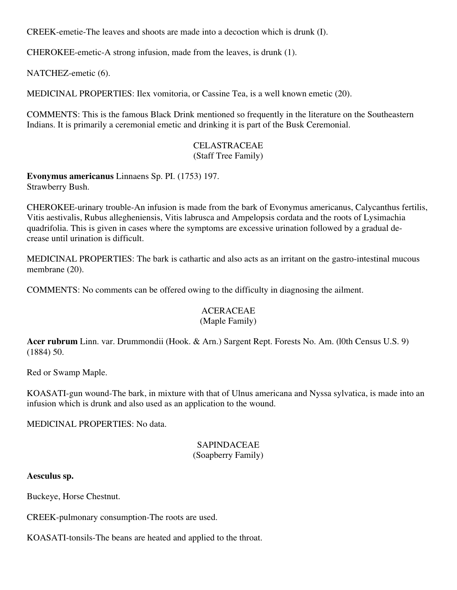CREEK-emetie-The leaves and shoots are made into a decoction which is drunk (I).

CHEROKEE-emetic-A strong infusion, made from the leaves, is drunk (1).

NATCHEZ-emetic (6).

MEDICINAL PROPERTIES: Ilex vomitoria, or Cassine Tea, is a well known emetic (20).

COMMENTS: This is the famous Black Drink mentioned so frequently in the literature on the Southeastern Indians. It is primarily a ceremonial emetic and drinking it is part of the Busk Ceremonial.

#### CELASTRACEAE (Staff Tree Family)

**Evonymus americanus** Linnaens Sp. PI. (1753) 197. Strawberry Bush.

CHEROKEE-urinary trouble-An infusion is made from the bark of Evonymus americanus, Calycanthus fertilis, Vitis aestivalis, Rubus allegheniensis, Vitis labrusca and Ampelopsis cordata and the roots of Lysimachia quadrifolia. This is given in cases where the symptoms are excessive urination followed by a gradual decrease until urination is difficult.

MEDICINAL PROPERTIES: The bark is cathartic and also acts as an irritant on the gastro-intestinal mucous membrane (20).

COMMENTS: No comments can be offered owing to the difficulty in diagnosing the ailment.

#### ACERACEAE (Maple Family)

**Acer rubrum** Linn. var. Drummondii (Hook. & Arn.) Sargent Rept. Forests No. Am. (l0th Census U.S. 9) (1884) 50.

Red or Swamp Maple.

KOASATI-gun wound-The bark, in mixture with that of Ulnus americana and Nyssa sylvatica, is made into an infusion which is drunk and also used as an application to the wound.

MEDlCINAL PROPERTIES: No data.

#### SAPINDACEAE (Soapberry Family)

**Aesculus sp.**

Buckeye, Horse Chestnut.

CREEK-pulmonary consumption-The roots are used.

KOASATI-tonsils-The beans are heated and applied to the throat.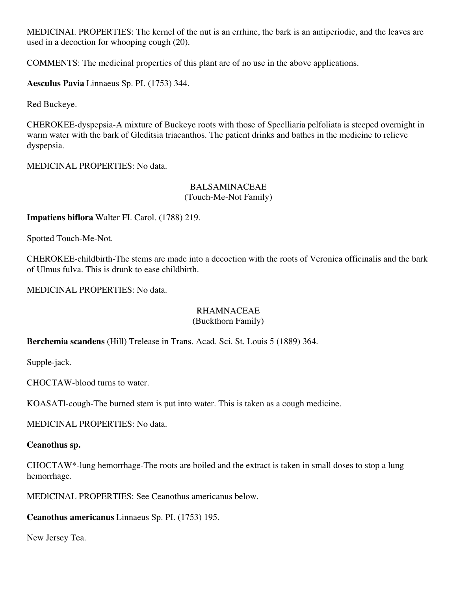MEDIClNAI. PROPERTIES: The kernel of the nut is an errhine, the bark is an antiperiodic, and the leaves are used in a decoction for whooping cough (20).

COMMENTS: The medicinal properties of this plant are of no use in the above applications.

**Aesculus Pavia** Linnaeus Sp. PI. (1753) 344.

Red Buckeye.

CHEROKEE-dyspepsia-A mixture of Buckeye roots with those of Speclliaria pelfoliata is steeped overnight in warm water with the bark of Gleditsia triacanthos. The patient drinks and bathes in the medicine to relieve dyspepsia.

MEDICINAL PROPERTIES: No data.

#### BALSAMINACEAE (Touch-Me-Not Family)

**Impatiens biflora** Walter FI. Carol. (1788) 219.

Spotted Touch-Me-Not.

CHEROKEE-childbirth-The stems are made into a decoction with the roots of Veronica officinalis and the bark of Ulmus fulva. This is drunk to ease childbirth.

MEDICINAL PROPERTIES: No data.

#### RHAMNACEAE (Buckthorn Family)

# **Berchemia scandens** (Hill) Trelease in Trans. Acad. Sci. St. Louis 5 (1889) 364.

Supple-jack.

CHOCTAW-blood turns to water.

KOASATl-cough-The burned stem is put into water. This is taken as a cough medicine.

MEDICINAL PROPERTIES: No data.

# **Ceanothus sp.**

CHOCTAW\*-lung hemorrhage-The roots are boiled and the extract is taken in small doses to stop a lung hemorrhage.

MEDlCINAL PROPERTIES: See Ceanothus americanus below.

**Ceanothus americanus** Linnaeus Sp. PI. (1753) 195.

New Jersey Tea.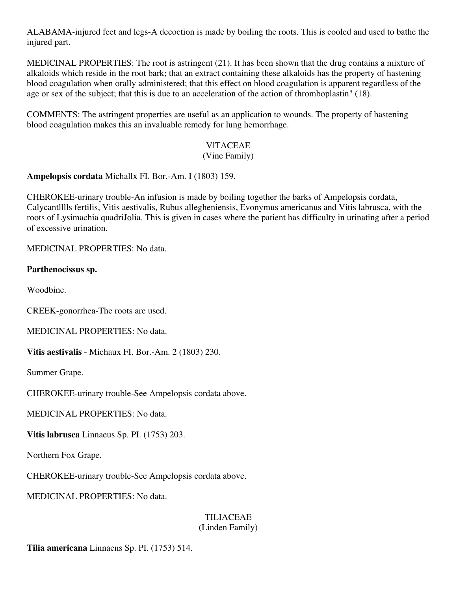ALABAMA-injured feet and legs-A decoction is made by boiling the roots. This is cooled and used to bathe the injured part.

MEDlCINAL PROPERTIES: The root is astringent (21). It has been shown that the drug contains a mixture of alkaloids which reside in the root bark; that an extract containing these alkaloids has the property of hastening blood coagulation when orally administered; that this effect on blood coagulation is apparent regardless of the age or sex of the subject; that this is due to an acceleration of the action of thromboplastin" (18).

COMMENTS: The astringent properties are useful as an application to wounds. The property of hastening blood coagulation makes this an invaluable remedy for lung hemorrhage.

# VlTACEAE

### (Vine Family)

**Ampelopsis cordata** Michallx FI. Bor.-Am. I (1803) 159.

CHEROKEE-urinary trouble-An infusion is made by boiling together the barks of Ampelopsis cordata, Calycantlllls fertilis, Vitis aestivalis, Rubus allegheniensis, Evonymus americanus and Vitis labrusca, with the roots of Lysimachia quadriJolia. This is given in cases where the patient has difficulty in urinating after a period of excessive urination.

MEDlCINAL PROPERTIES: No data.

### **Parthenocissus sp.**

Woodbine.

CREEK-gonorrhea-The roots are used.

MEDICINAL PROPERTIES: No data.

**Vitis aestivalis** - Michaux FI. Bor.-Am. 2 (1803) 230.

Summer Grape.

CHEROKEE-urinary trouble-See Ampelopsis cordata above.

MEDICINAL PROPERTIES: No data.

**Vitis labrusca** Linnaeus Sp. PI. (1753) 203.

Northern Fox Grape.

CHEROKEE-urinary trouble-See Ampelopsis cordata above.

MEDICINAL PROPERTIES: No data.

## TILIACEAE

### (Linden Family)

**Tilia americana** Linnaens Sp. PI. (1753) 514.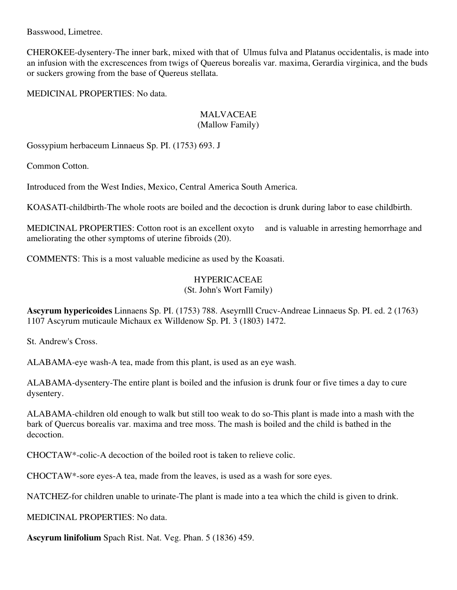Basswood, Limetree.

CHEROKEE-dysentery-The inner bark, mixed with that of Ulmus fulva and Platanus occidentalis, is made into an infusion with the excrescences from twigs of Quereus borealis var. maxima, Gerardia virginica, and the buds or suckers growing from the base of Quereus stellata.

MEDICINAL PROPERTIES: No data.

# MALVACEAE

### (Mallow Family)

Gossypium herbaceum Linnaeus Sp. PI. (1753) 693. J

Common Cotton.

Introduced from the West Indies, Mexico, Central America South America.

KOASATI-childbirth-The whole roots are boiled and the decoction is drunk during labor to ease childbirth.

MEDICINAL PROPERTIES: Cotton root is an excellent oxyto and is valuable in arresting hemorrhage and ameliorating the other symptoms of uterine fibroids (20).

COMMENTS: This is a most valuable medicine as used by the Koasati.

# HYPERICACEAE

(St. John's Wort Family)

**Ascyrum hypericoides** Linnaens Sp. PI. (1753) 788. Aseyrnlll Crucv-Andreae Linnaeus Sp. PI. ed. 2 (1763) 1107 Ascyrum muticaule Michaux ex Willdenow Sp. PI. 3 (1803) 1472.

St. Andrew's Cross.

ALABAMA-eye wash-A tea, made from this plant, is used as an eye wash.

ALABAMA-dysentery-The entire plant is boiled and the infusion is drunk four or five times a day to cure dysentery.

ALABAMA-children old enough to walk but still too weak to do so-This plant is made into a mash with the bark of Quercus borealis var. maxima and tree moss. The mash is boiled and the child is bathed in the decoction.

CHOCTAW\*-colic-A decoction of the boiled root is taken to relieve colic.

CHOCTAW\*-sore eyes-A tea, made from the leaves, is used as a wash for sore eyes.

NATCHEZ-for children unable to urinate-The plant is made into a tea which the child is given to drink.

MEDICINAL PROPERTIES: No data.

**Ascyrum linifolium** Spach Rist. Nat. Veg. Phan. 5 (1836) 459.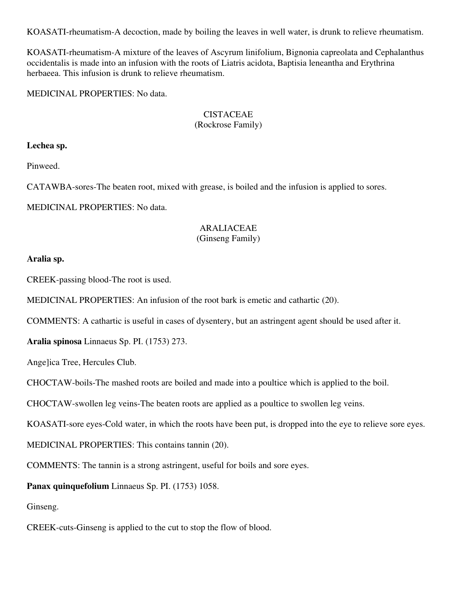KOASATI-rheumatism-A decoction, made by boiling the leaves in well water, is drunk to relieve rheumatism.

KOASATI-rheumatism-A mixture of the leaves of Ascyrum linifolium, Bignonia capreolata and Cephalanthus occidentalis is made into an infusion with the roots of Liatris acidota, Baptisia leneantha and Erythrina herbaeea. This infusion is drunk to relieve rheumatism.

MEDICINAL PROPERTIES: No data.

# **CISTACEAE**

### (Rockrose Family)

### **Lechea sp.**

Pinweed.

CATAWBA-sores-The beaten root, mixed with grease, is boiled and the infusion is applied to sores.

MEDICINAL PROPERTIES: No data.

## ARALIACEAE

### (Ginseng Family)

### **Aralia sp.**

CREEK-passing blood-The root is used.

MEDICINAL PROPERTIES: An infusion of the root bark is emetic and cathartic (20).

COMMENTS: A cathartic is useful in cases of dysentery, but an astringent agent should be used after it.

**Aralia spinosa** Linnaeus Sp. PI. (1753) 273.

Ange]ica Tree, Hercules Club.

CHOCTAW-boils-The mashed roots are boiled and made into a poultice which is applied to the boil.

CHOCTAW-swollen leg veins-The beaten roots are applied as a poultice to swollen leg veins.

KOASATI-sore eyes-Cold water, in which the roots have been put, is dropped into the eye to relieve sore eyes.

MEDICINAL PROPERTIES: This contains tannin (20).

COMMENTS: The tannin is a strong astringent, useful for boils and sore eyes.

**Panax quinquefolium** Linnaeus Sp. PI. (1753) 1058.

Ginseng.

CREEK-cuts-Ginseng is applied to the cut to stop the flow of blood.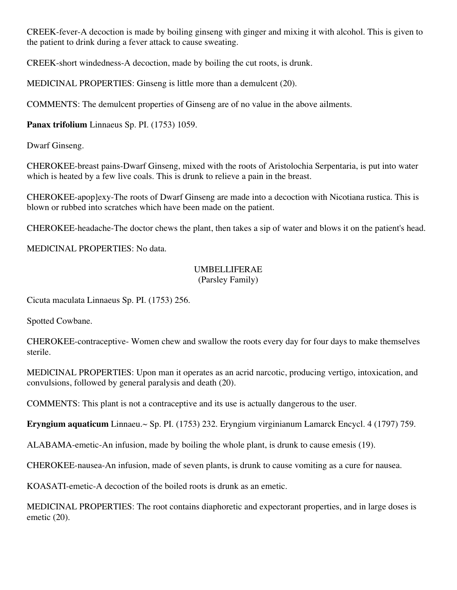CREEK-fever-A decoction is made by boiling ginseng with ginger and mixing it with alcohol. This is given to the patient to drink during a fever attack to cause sweating.

CREEK-short windedness-A decoction, made by boiling the cut roots, is drunk.

MEDICINAL PROPERTIES: Ginseng is little more than a demulcent (20).

COMMENTS: The demulcent properties of Ginseng are of no value in the above ailments.

**Panax trifolium** Linnaeus Sp. PI. (1753) 1059.

Dwarf Ginseng.

CHEROKEE-breast pains-Dwarf Ginseng, mixed with the roots of Aristolochia Serpentaria, is put into water which is heated by a few live coals. This is drunk to relieve a pain in the breast.

CHEROKEE-apop]exy-The roots of Dwarf Ginseng are made into a decoction with Nicotiana rustica. This is blown or rubbed into scratches which have been made on the patient.

CHEROKEE-headache-The doctor chews the plant, then takes a sip of water and blows it on the patient's head.

MEDlCINAL PROPERTIES: No data.

#### UMBELLIFERAE (Parsley Family)

Cicuta maculata Linnaeus Sp. PI. (1753) 256.

Spotted Cowbane.

CHEROKEE-contraceptive- Women chew and swallow the roots every day for four days to make themselves sterile.

MEDlCINAL PROPERTIES: Upon man it operates as an acrid narcotic, producing vertigo, intoxication, and convulsions, followed by general paralysis and death (20).

COMMENTS: This plant is not a contraceptive and its use is actually dangerous to the user.

**Eryngium aquaticum** Linnaeu.~ Sp. PI. (1753) 232. Eryngium virginianum Lamarck Encycl. 4 (1797) 759.

ALABAMA-emetic-An infusion, made by boiling the whole plant, is drunk to cause emesis (19).

CHEROKEE-nausea-An infusion, made of seven plants, is drunk to cause vomiting as a cure for nausea.

KOASATI-emetic-A decoction of the boiled roots is drunk as an emetic.

MEDICINAL PROPERTIES: The root contains diaphoretic and expectorant properties, and in large doses is emetic (20).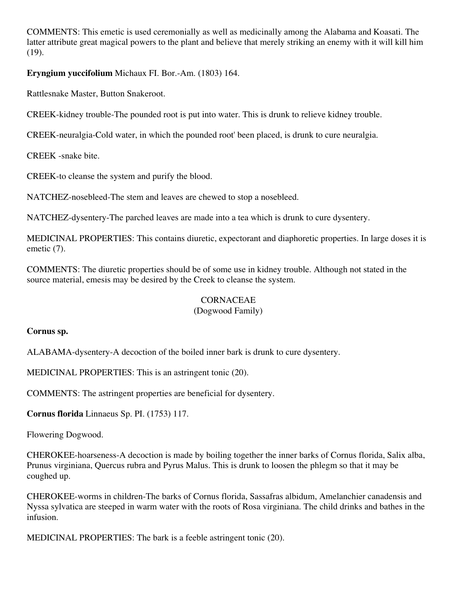COMMENTS: This emetic is used ceremonially as well as medicinally among the Alabama and Koasati. The latter attribute great magical powers to the plant and believe that merely striking an enemy with it will kill him (19).

### **Eryngium yuccifolium** Michaux FI. Bor.-Am. (1803) 164.

Rattlesnake Master, Button Snakeroot.

CREEK-kidney trouble-The pounded root is put into water. This is drunk to relieve kidney trouble.

CREEK-neuralgia-Cold water, in which the pounded root' been placed, is drunk to cure neuralgia.

CREEK -snake bite.

CREEK-to cleanse the system and purify the blood.

NATCHEZ-nosebleed-The stem and leaves are chewed to stop a nosebleed.

NATCHEZ-dysentery-The parched leaves are made into a tea which is drunk to cure dysentery.

MEDICINAL PROPERTIES: This contains diuretic, expectorant and diaphoretic properties. In large doses it is emetic (7).

COMMENTS: The diuretic properties should be of some use in kidney trouble. Although not stated in the source material, emesis may be desired by the Creek to cleanse the system.

### **CORNACEAE**

### (Dogwood Family)

### **Cornus sp.**

ALABAMA-dysentery-A decoction of the boiled inner bark is drunk to cure dysentery.

MEDICINAL PROPERTIES: This is an astringent tonic (20).

COMMENTS: The astringent properties are beneficial for dysentery.

**Cornus florida** Linnaeus Sp. PI. (1753) 117.

Flowering Dogwood.

CHEROKEE-hoarseness-A decoction is made by boiling together the inner barks of Cornus florida, Salix alba, Prunus virginiana, Quercus rubra and Pyrus Malus. This is drunk to loosen the phlegm so that it may be coughed up.

CHEROKEE-worms in children-The barks of Cornus florida, Sassafras albidum, Amelanchier canadensis and Nyssa sylvatica are steeped in warm water with the roots of Rosa virginiana. The child drinks and bathes in the infusion.

MEDICINAL PROPERTIES: The bark is a feeble astringent tonic (20).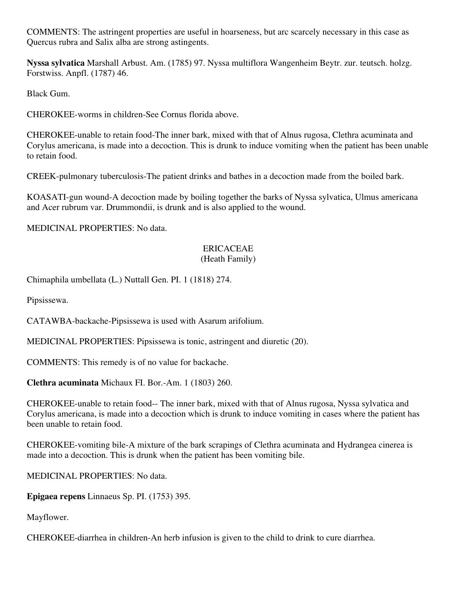COMMENTS: The astringent properties are useful in hoarseness, but arc scarcely necessary in this case as Quercus rubra and Salix alba are strong astingents.

**Nyssa sylvatica** Marshall Arbust. Am. (1785) 97. Nyssa multiflora Wangenheim Beytr. zur. teutsch. holzg. Forstwiss. Anpfl. (1787) 46.

Black Gum.

CHEROKEE-worms in children-See Cornus florida above.

CHEROKEE-unable to retain food-The inner bark, mixed with that of Alnus rugosa, Clethra acuminata and Corylus americana, is made into a decoction. This is drunk to induce vomiting when the patient has been unable to retain food.

CREEK-pulmonary tuberculosis-The patient drinks and bathes in a decoction made from the boiled bark.

KOASATI-gun wound-A decoction made by boiling together the barks of Nyssa sylvatica, Ulmus americana and Acer rubrum var. Drummondii, is drunk and is also applied to the wound.

MEDICINAL PROPERTIES: No data.

#### ERICACEAE (Heath Family)

Chimaphila umbellata (L.) Nuttall Gen. PI. 1 (1818) 274.

Pipsissewa.

CATAWBA-backache-Pipsissewa is used with Asarum arifolium.

MEDICINAL PROPERTIES: Pipsissewa is tonic, astringent and diuretic (20).

COMMENTS: This remedy is of no value for backache.

**Clethra acuminata** Michaux FI. Bor.-Am. 1 (1803) 260.

CHEROKEE-unable to retain food-- The inner bark, mixed with that of Alnus rugosa, Nyssa sylvatica and Corylus americana, is made into a decoction which is drunk to induce vomiting in cases where the patient has been unable to retain food.

CHEROKEE-vomiting bile-A mixture of the bark scrapings of Clethra acuminata and Hydrangea cinerea is made into a decoction. This is drunk when the patient has been vomiting bile.

MEDICINAL PROPERTIES: No data.

**Epigaea repens** Linnaeus Sp. PI. (1753) 395.

Mayflower.

CHEROKEE-diarrhea in children-An herb infusion is given to the child to drink to cure diarrhea.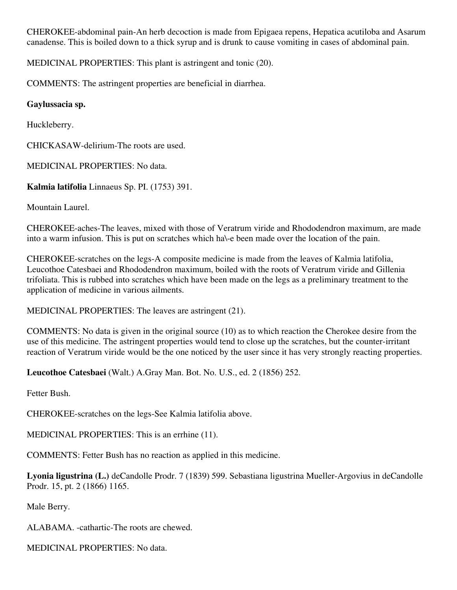CHEROKEE-abdominal pain-An herb decoction is made from Epigaea repens, Hepatica acutiloba and Asarum canadense. This is boiled down to a thick syrup and is drunk to cause vomiting in cases of abdominal pain.

MEDICINAL PROPERTIES: This plant is astringent and tonic (20).

COMMENTS: The astringent properties are beneficial in diarrhea.

### **Gaylussacia sp.**

Huckleberry.

CHICKASAW-delirium-The roots are used.

MEDICINAL PROPERTIES: No data.

**Kalmia latifolia** Linnaeus Sp. PI. (1753) 391.

Mountain Laurel.

CHEROKEE-aches-The leaves, mixed with those of Veratrum viride and Rhododendron maximum, are made into a warm infusion. This is put on scratches which ha\-e been made over the location of the pain.

CHEROKEE-scratches on the legs-A composite medicine is made from the leaves of Kalmia latifolia, Leucothoe Catesbaei and Rhododendron maximum, boiled with the roots of Veratrum viride and Gillenia trifoliata. This is rubbed into scratches which have been made on the legs as a preliminary treatment to the application of medicine in various ailments.

MEDICINAL PROPERTIES: The leaves are astringent (21).

COMMENTS: No data is given in the original source (10) as to which reaction the Cherokee desire from the use of this medicine. The astringent properties would tend to close up the scratches, but the counter-irritant reaction of Veratrum viride would be the one noticed by the user since it has very strongly reacting properties.

**Leucothoe Catesbaei** (Walt.) A.Gray Man. Bot. No. U.S., ed. 2 (1856) 252.

Fetter Bush.

CHEROKEE-scratches on the legs-See Kalmia latifolia above.

MEDlCINAL PROPERTIES: This is an errhine (11).

COMMENTS: Fetter Bush has no reaction as applied in this medicine.

**Lyonia ligustrina (L.)** deCandolle Prodr. 7 (1839) 599. Sebastiana ligustrina Mueller-Argovius in deCandolle Prodr. 15, pt. 2 (1866) 1165.

Male Berry.

ALABAMA. -cathartic-The roots are chewed.

MEDICINAL PROPERTIES: No data.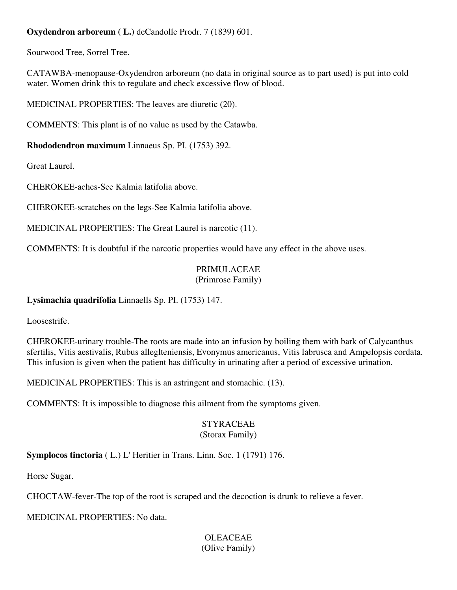### **Oxydendron arboreum ( L.)** deCandolle Prodr. 7 (1839) 601.

Sourwood Tree, Sorrel Tree.

CATAWBA-menopause-Oxydendron arboreum (no data in original source as to part used) is put into cold water. Women drink this to regulate and check excessive flow of blood.

MEDlCINAL PROPERTIES: The leaves are diuretic (20).

COMMENTS: This plant is of no value as used by the Catawba.

**Rhododendron maximum** Linnaeus Sp. PI. (1753) 392.

Great Laurel.

CHEROKEE-aches-See Kalmia latifolia above.

CHEROKEE-scratches on the legs-See Kalmia latifolia above.

MEDICINAL PROPERTIES: The Great Laurel is narcotic (11).

COMMENTS: It is doubtful if the narcotic properties would have any effect in the above uses.

### PRIMULACEAE (Primrose Family)

### **Lysimachia quadrifolia** Linnaells Sp. PI. (1753) 147.

Loosestrife.

CHEROKEE-urinary trouble-The roots are made into an infusion by boiling them with bark of Calycanthus sfertilis, Vitis aestivalis, Rubus alleglteniensis, Evonymus americanus, Vitis labrusca and Ampelopsis cordata. This infusion is given when the patient has difficulty in urinating after a period of excessive urination.

MEDICINAL PROPERTIES: This is an astringent and stomachic. (13).

COMMENTS: It is impossible to diagnose this ailment from the symptoms given.

### STYRACEAE (Storax Family)

**Symplocos tinctoria** ( L.) L' Heritier in Trans. Linn. Soc. 1 (1791) 176.

Horse Sugar.

CHOCTAW-fever-The top of the root is scraped and the decoction is drunk to relieve a fever.

MEDICINAL PROPERTIES: No data.

### OLEACEAE (Olive Family)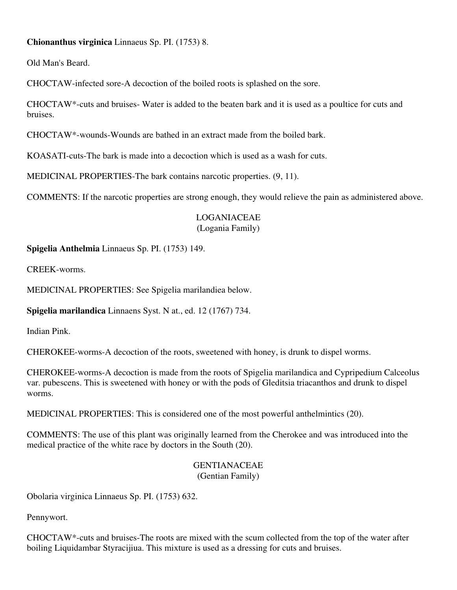### **Chionanthus virginica** Linnaeus Sp. PI. (1753) 8.

Old Man's Beard.

CHOCTAW-infected sore-A decoction of the boiled roots is splashed on the sore.

CHOCTAW\*-cuts and bruises- Water is added to the beaten bark and it is used as a poultice for cuts and bruises.

CHOCTAW\*-wounds-Wounds are bathed in an extract made from the boiled bark.

KOASATI-cuts-The bark is made into a decoction which is used as a wash for cuts.

MEDICINAL PROPERTIES-The bark contains narcotic properties. (9, 11).

COMMENTS: If the narcotic properties are strong enough, they would relieve the pain as administered above.

### LOGANIACEAE (Logania Family)

**Spigelia Anthelmia** Linnaeus Sp. PI. (1753) 149.

CREEK-worms.

MEDlCINAL PROPERTIES: See Spigelia marilandiea below.

**Spigelia marilandica** Linnaens Syst. N at., ed. 12 (1767) 734.

Indian Pink.

CHEROKEE-worms-A decoction of the roots, sweetened with honey, is drunk to dispel worms.

CHEROKEE-worms-A decoction is made from the roots of Spigelia marilandica and Cypripedium Calceolus var. pubescens. This is sweetened with honey or with the pods of Gleditsia triacanthos and drunk to dispel worms.

MEDlCINAL PROPERTIES: This is considered one of the most powerful anthelmintics (20).

COMMENTS: The use of this plant was originally learned from the Cherokee and was introduced into the medical practice of the white race by doctors in the South (20).

### GENTIANACEAE (Gentian Family)

Obolaria virginica Linnaeus Sp. PI. (1753) 632.

Pennywort.

CHOCTAW\*-cuts and bruises-The roots are mixed with the scum collected from the top of the water after boiling Liquidambar Styracijiua. This mixture is used as a dressing for cuts and bruises.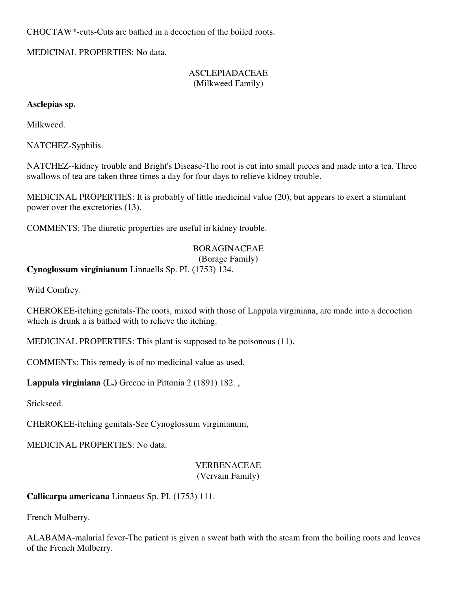CHOCTAW\*-cuts-Cuts are bathed in a decoction of the boiled roots.

MEDlCINAL PROPERTIES: No data.

### ASCLEPIADACEAE (Milkweed Family)

### **Asclepias sp.**

Milkweed.

NATCHEZ-Syphilis.

NATCHEZ--kidney trouble and Bright's Disease-The root is cut into small pieces and made into a tea. Three swallows of tea are taken three times a day for four days to relieve kidney trouble.

MEDICINAL PROPERTIES: It is probably of little medicinal value (20), but appears to exert a stimulant power over the excretories (13).

COMMENTS: The diuretic properties are useful in kidney trouble.

### BORAGINACEAE

### (Borage Family)

**Cynoglossum virginianum** Linnaells Sp. PI. (1753) 134.

Wild Comfrey.

CHEROKEE-itching genitals-The roots, mixed with those of Lappula virginiana, are made into a decoction which is drunk a is bathed with to relieve the itching.

MEDICINAL PROPERTIES: This plant is supposed to be poisonous (11).

COMMENTs: This remedy is of no medicinal value as used.

**Lappula virginiana (L.)** Greene in Pittonia 2 (1891) 182. ,

Stickseed.

CHEROKEE-itching genitals-See Cynoglossum virginianum,

MEDICINAL PROPERTIES: No data.

#### VERBENACEAE (Vervain Family)

**Callicarpa americana** Linnaeus Sp. PI. (1753) 111.

French Mulberry.

ALABAMA-malarial fever-The patient is given a sweat bath with the steam from the boiling roots and leaves of the French Mulberry.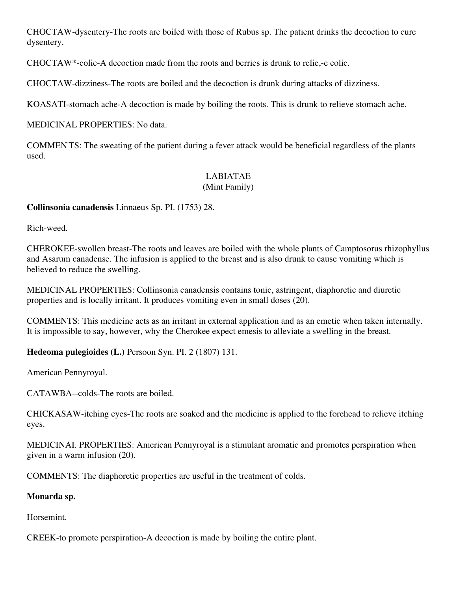CHOCTAW-dysentery-The roots are boiled with those of Rubus sp. The patient drinks the decoction to cure dysentery.

CHOCTAW\*-colic-A decoction made from the roots and berries is drunk to relie,-e colic.

CHOCTAW-dizziness-The roots are boiled and the decoction is drunk during attacks of dizziness.

KOASATI-stomach ache-A decoction is made by boiling the roots. This is drunk to relieve stomach ache.

MEDICINAL PROPERTIES: No data.

COMMEN'TS: The sweating of the patient during a fever attack would be beneficial regardless of the plants used.

# LABIATAE

### (Mint Family)

**Collinsonia canadensis** Linnaeus Sp. PI. (1753) 28.

Rich-weed.

CHEROKEE-swollen breast-The roots and leaves are boiled with the whole plants of Camptosorus rhizophyllus and Asarum canadense. The infusion is applied to the breast and is also drunk to cause vomiting which is believed to reduce the swelling.

MEDICINAL PROPERTIES: Collinsonia canadensis contains tonic, astringent, diaphoretic and diuretic properties and is locally irritant. It produces vomiting even in small doses (20).

COMMENTS: This medicine acts as an irritant in external application and as an emetic when taken internally. It is impossible to say, however, why the Cherokee expect emesis to alleviate a swelling in the breast.

**Hedeoma pulegioides (L.)** Pcrsoon Syn. PI. 2 (1807) 131.

American Pennyroyal.

CATAWBA--colds-The roots are boiled.

CHICKASAW-itching eyes-The roots are soaked and the medicine is applied to the forehead to relieve itching eyes.

MEDICINAI. PROPERTIES: American Pennyroyal is a stimulant aromatic and promotes perspiration when given in a warm infusion (20).

COMMENTS: The diaphoretic properties are useful in the treatment of colds.

### **Monarda sp.**

Horsemint.

CREEK-to promote perspiration-A decoction is made by boiling the entire plant.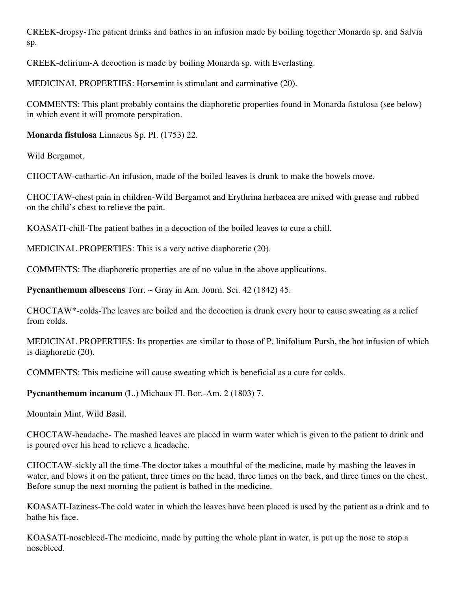CREEK-dropsy-The patient drinks and bathes in an infusion made by boiling together Monarda sp. and Salvia sp.

CREEK-delirium-A decoction is made by boiling Monarda sp. with Everlasting.

MEDICINAI. PROPERTIES: Horsemint is stimulant and carminative (20).

COMMENTS: This plant probably contains the diaphoretic properties found in Monarda fistulosa (see below) in which event it will promote perspiration.

**Monarda fistulosa** Linnaeus Sp. PI. (1753) 22.

Wild Bergamot.

CHOCTAW-cathartic-An infusion, made of the boiled leaves is drunk to make the bowels move.

CHOCTAW-chest pain in children-Wild Bergamot and Erythrina herbacea are mixed with grease and rubbed on the child's chest to relieve the pain.

KOASATI-chill-The patient bathes in a decoction of the boiled leaves to cure a chill.

MEDICINAL PROPERTIES: This is a very active diaphoretic (20).

COMMENTS: The diaphoretic properties are of no value in the above applications.

**Pycnanthemum albescens** Torr. ~ Gray in Am. Journ. Sci. 42 (1842) 45.

CHOCTAW\*-colds-The leaves are boiled and the decoction is drunk every hour to cause sweating as a relief from colds.

MEDICINAL PROPERTIES: Its properties are similar to those of P. linifolium Pursh, the hot infusion of which is diaphoretic (20).

COMMENTS: This medicine will cause sweating which is beneficial as a cure for colds.

**Pycnanthemum incanum** (L.) Michaux FI. Bor.-Am. 2 (1803) 7.

Mountain Mint, Wild Basil.

CHOCTAW-headache- The mashed leaves are placed in warm water which is given to the patient to drink and is poured over his head to relieve a headache.

CHOCTAW-sickly all the time-The doctor takes a mouthful of the medicine, made by mashing the leaves in water, and blows it on the patient, three times on the head, three times on the back, and three times on the chest. Before sunup the next morning the patient is bathed in the medicine.

KOASATI-Iaziness-The cold water in which the leaves have been placed is used by the patient as a drink and to bathe his face.

KOASATI-nosebleed-The medicine, made by putting the whole plant in water, is put up the nose to stop a nosebleed.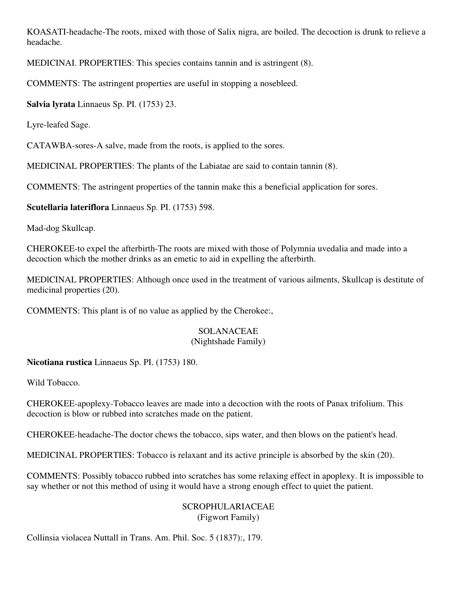KOASATI-headache-The roots, mixed with those of Salix nigra, are boiled. The decoction is drunk to relieve a headache.

MEDICINAI. PROPERTIES: This species contains tannin and is astringent (8).

COMMENTS: The astringent properties are useful in stopping a nosebleed.

**Salvia lyrata** Linnaeus Sp. PI. (1753) 23.

Lyre-leafed Sage.

CATAWBA-sores-A salve, made from the roots, is applied to the sores.

MEDICINAL PROPERTIES: The plants of the Labiatae are said to contain tannin (8).

COMMENTS: The astringent properties of the tannin make this a beneficial application for sores.

**Scutellaria lateriflora** Linnaeus Sp. PI. (1753) 598.

Mad-dog Skullcap.

CHEROKEE-to expel the afterbirth-The roots are mixed with those of Polymnia uvedalia and made into a decoction which the mother drinks as an emetic to aid in expelling the afterbirth.

MEDlCINAL PROPERTIES: Although once used in the treatment of various ailments, Skullcap is destitute of medicinal properties (20).

COMMENTS: This plant is of no value as applied by the Cherokee:,

### SOLANACEAE

### (Nightshade Family)

**Nicotiana rustica** Linnaeus Sp. PI. (1753) 180.

Wild Tobacco.

CHEROKEE-apoplexy-Tobacco leaves are made into a decoction with the roots of Panax trifolium. This decoction is blow or rubbed into scratches made on the patient.

CHEROKEE-headache-The doctor chews the tobacco, sips water, and then blows on the patient's head.

MEDICINAL PROPERTIES: Tobacco is relaxant and its active principle is absorbed by the skin (20).

COMMENTS: Possibly tobacco rubbed into scratches has some relaxing effect in apoplexy. It is impossible to say whether or not this method of using it would have a strong enough effect to quiet the patient.

### SCROPHULARIACEAE (Figwort Family)

Collinsia violacea Nuttall in Trans. Am. Phil. Soc. 5 (1837):, 179.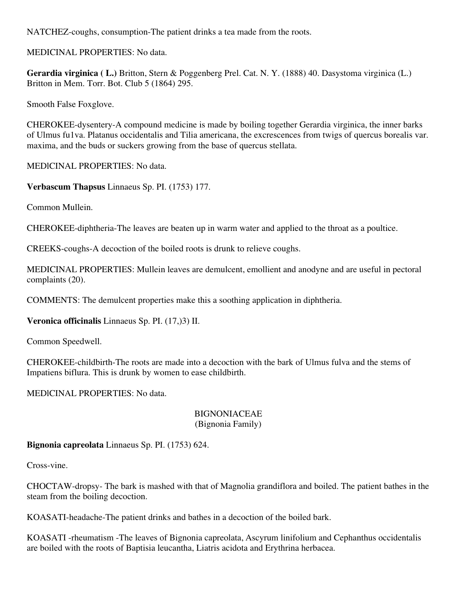NATCHEZ-coughs, consumption-The patient drinks a tea made from the roots.

MEDICINAL PROPERTIES: No data.

**Gerardia virginica ( L.)** Britton, Stern & Poggenberg Prel. Cat. N. Y. (1888) 40. Dasystoma virginica (L.) Britton in Mem. Torr. Bot. Club 5 (1864) 295.

Smooth False Foxglove.

CHEROKEE-dysentery-A compound medicine is made by boiling together Gerardia virginica, the inner barks of Ulmus fu1va. Platanus occidentalis and Tilia americana, the excrescences from twigs of quercus borealis var. maxima, and the buds or suckers growing from the base of quercus stellata.

MEDlCINAL PROPERTIES: No data.

**Verbascum Thapsus** Linnaeus Sp. PI. (1753) 177.

Common Mullein.

CHEROKEE-diphtheria-The leaves are beaten up in warm water and applied to the throat as a poultice.

CREEKS-coughs-A decoction of the boiled roots is drunk to relieve coughs.

MEDICINAL PROPERTIES: Mullein leaves are demulcent, emollient and anodyne and are useful in pectoral complaints (20).

COMMENTS: The demulcent properties make this a soothing application in diphtheria.

**Veronica officinalis** Linnaeus Sp. PI. (17,)3) II.

Common Speedwell.

CHEROKEE-childbirth-The roots are made into a decoction with the bark of Ulmus fulva and the stems of Impatiens biflura. This is drunk by women to ease childbirth.

MEDlCINAL PROPERTIES: No data.

#### **BIGNONIACEAE** (Bignonia Family)

**Bignonia capreolata** Linnaeus Sp. PI. (1753) 624.

Cross-vine.

CHOCTAW-dropsy- The bark is mashed with that of Magnolia grandiflora and boiled. The patient bathes in the steam from the boiling decoction.

KOASATI-headache-The patient drinks and bathes in a decoction of the boiled bark.

KOASATI -rheumatism -The leaves of Bignonia capreolata, Ascyrum linifolium and Cephanthus occidentalis are boiled with the roots of Baptisia leucantha, Liatris acidota and Erythrina herbacea.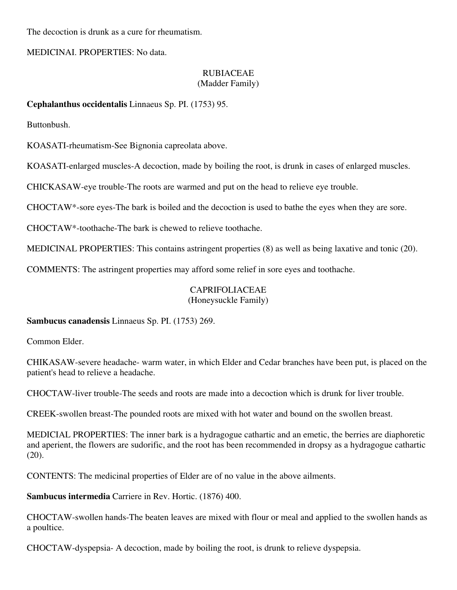The decoction is drunk as a cure for rheumatism.

MEDICINAI. PROPERTIES: No data.

### RUBIACEAE (Madder Family)

### **Cephalanthus occidentalis** Linnaeus Sp. PI. (1753) 95.

Buttonbush.

KOASATI-rheumatism-See Bignonia capreolata above.

KOASATI-enlarged muscles-A decoction, made by boiling the root, is drunk in cases of enlarged muscles.

CHICKASAW-eye trouble-The roots are warmed and put on the head to relieve eye trouble.

CHOCTAW\*-sore eyes-The bark is boiled and the decoction is used to bathe the eyes when they are sore.

CHOCTAW\*-toothache-The bark is chewed to relieve toothache.

MEDICINAL PROPERTIES: This contains astringent properties (8) as well as being laxative and tonic (20).

COMMENTS: The astringent properties may afford some relief in sore eyes and toothache.

### CAPRIFOLIACEAE

(Honeysuckle Family)

**Sambucus canadensis** Linnaeus Sp. PI. (1753) 269.

Common Elder.

CHIKASAW-severe headache- warm water, in which Elder and Cedar branches have been put, is placed on the patient's head to relieve a headache.

CHOCTAW-liver trouble-The seeds and roots are made into a decoction which is drunk for liver trouble.

CREEK-swollen breast-The pounded roots are mixed with hot water and bound on the swollen breast.

MEDICIAL PROPERTIES: The inner bark is a hydragogue cathartic and an emetic, the berries are diaphoretic and aperient, the flowers are sudorific, and the root has been recommended in dropsy as a hydragogue cathartic (20).

CONTENTS: The medicinal properties of Elder are of no value in the above ailments.

**Sambucus intermedia** Carriere in Rev. Hortic. (1876) 400.

CHOCTAW-swollen hands-The beaten leaves are mixed with flour or meal and applied to the swollen hands as a poultice.

CHOCTAW-dyspepsia- A decoction, made by boiling the root, is drunk to relieve dyspepsia.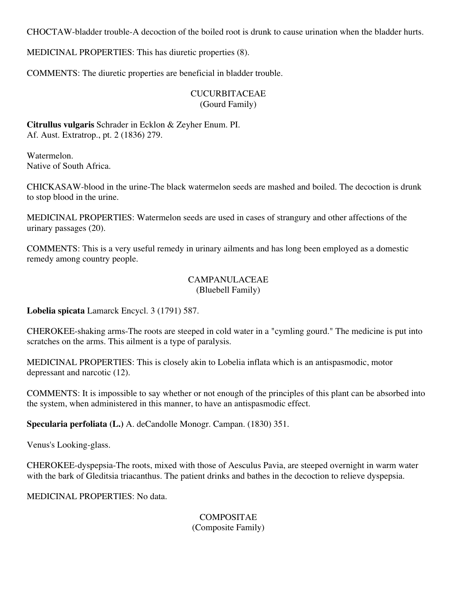CHOCTAW-bladder trouble-A decoction of the boiled root is drunk to cause urination when the bladder hurts.

MEDICINAL PROPERTIES: This has diuretic properties (8).

COMMENTS: The diuretic properties are beneficial in bladder trouble.

### CUCURBITACEAE (Gourd Family)

**Citrullus vulgaris** Schrader in Ecklon & Zeyher Enum. PI. Af. Aust. Extratrop., pt. 2 (1836) 279.

Watermelon. Native of South Africa.

CHICKASAW-blood in the urine-The black watermelon seeds are mashed and boiled. The decoction is drunk to stop blood in the urine.

MEDICINAL PROPERTIES: Watermelon seeds are used in cases of strangury and other affections of the urinary passages (20).

COMMENTS: This is a very useful remedy in urinary ailments and has long been employed as a domestic remedy among country people.

### CAMPANULACEAE (Bluebell Family)

**Lobelia spicata** Lamarck Encycl. 3 (1791) 587.

CHEROKEE-shaking arms-The roots are steeped in cold water in a "cymling gourd." The medicine is put into scratches on the arms. This ailment is a type of paralysis.

MEDICINAL PROPERTIES: This is closely akin to Lobelia inflata which is an antispasmodic, motor depressant and narcotic (12).

COMMENTS: It is impossible to say whether or not enough of the principles of this plant can be absorbed into the system, when administered in this manner, to have an antispasmodic effect.

**Specularia perfoliata (L.)** A. deCandolle Monogr. Campan. (1830) 351.

Venus's Looking-glass.

CHEROKEE-dyspepsia-The roots, mixed with those of Aesculus Pavia, are steeped overnight in warm water with the bark of Gleditsia triacanthus. The patient drinks and bathes in the decoction to relieve dyspepsia.

MEDICINAL PROPERTIES: No data.

**COMPOSITAE** (Composite Family)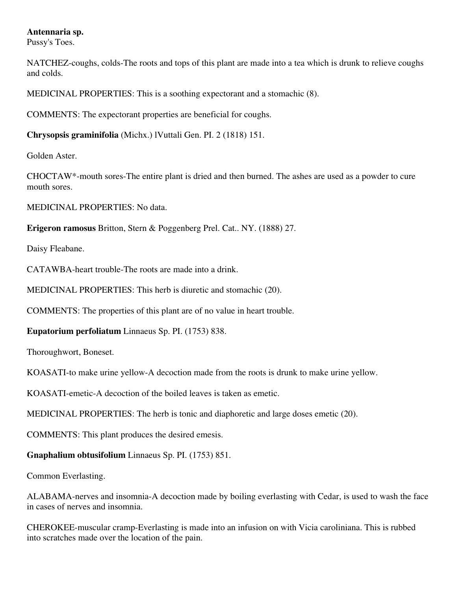### **Antennaria sp.**

Pussy's Toes.

NATCHEZ-coughs, colds-The roots and tops of this plant are made into a tea which is drunk to relieve coughs and colds.

MEDICINAL PROPERTIES: This is a soothing expectorant and a stomachic (8).

COMMENTS: The expectorant properties are beneficial for coughs.

**Chrysopsis graminifolia** (Michx.) lVuttali Gen. PI. 2 (1818) 151.

Golden Aster.

CHOCTAW\*-mouth sores-The entire plant is dried and then burned. The ashes are used as a powder to cure mouth sores.

MEDICINAL PROPERTIES: No data.

**Erigeron ramosus** Britton, Stern & Poggenberg Prel. Cat.. NY. (1888) 27.

Daisy Fleabane.

CATAWBA-heart trouble-The roots are made into a drink.

MEDICINAL PROPERTIES: This herb is diuretic and stomachic (20).

COMMENTS: The properties of this plant are of no value in heart trouble.

**Eupatorium perfoliatum** Linnaeus Sp. PI. (1753) 838.

Thoroughwort, Boneset.

KOASATI-to make urine yellow-A decoction made from the roots is drunk to make urine yellow.

KOASATI-emetic-A decoction of the boiled leaves is taken as emetic.

MEDICINAL PROPERTIES: The herb is tonic and diaphoretic and large doses emetic (20).

COMMENTS: This plant produces the desired emesis.

**Gnaphalium obtusifolium** Linnaeus Sp. PI. (1753) 851.

Common Everlasting.

ALABAMA-nerves and insomnia-A decoction made by boiling everlasting with Cedar, is used to wash the face in cases of nerves and insomnia.

CHEROKEE-muscular cramp-Everlasting is made into an infusion on with Vicia caroliniana. This is rubbed into scratches made over the location of the pain.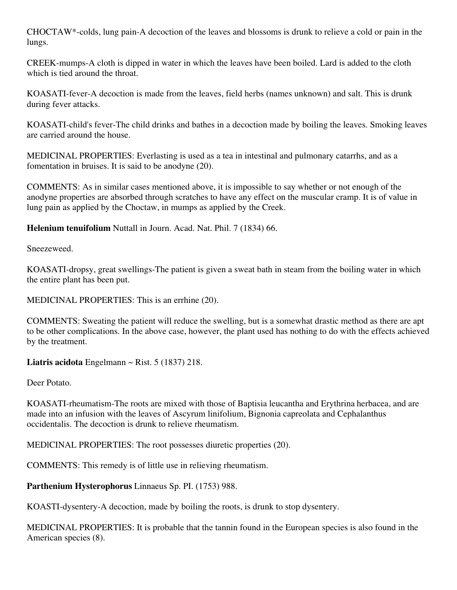CHOCTAW\*-colds, lung pain-A decoction of the leaves and blossoms is drunk to relieve a cold or pain in the lungs.

CREEK-mumps-A cloth is dipped in water in which the leaves have been boiled. Lard is added to the cloth which is tied around the throat.

KOASATI-fever-A decoction is made from the leaves, field herbs (names unknown) and salt. This is drunk during fever attacks.

KOASATI-child's fever-The child drinks and bathes in a decoction made by boiling the leaves. Smoking leaves are carried around the house.

MEDICINAL PROPERTIES: Everlasting is used as a tea in intestinal and pulmonary catarrhs, and as a fomentation in bruises. It is said to be anodyne (20).

COMMENTS: As in similar cases mentioned above, it is impossible to say whether or not enough of the anodyne properties are absorbed through scratches to have any effect on the muscular cramp. It is of value in lung pain as applied by the Choctaw, in mumps as applied by the Creek.

**Helenium tenuifolium** Nuttall in Journ. Acad. Nat. Phil. 7 (1834) 66.

Sneezeweed.

KOASATI-dropsy, great swellings-The patient is given a sweat bath in steam from the boiling water in which the entire plant has been put.

MEDICINAL PROPERTIES: This is an errhine (20).

COMMENTS: Sweating the patient will reduce the swelling, but is a somewhat drastic method as there are apt to be other complications. In the above case, however, the plant used has nothing to do with the effects achieved by the treatment.

**Liatris acidota** Engelmann  $\sim$  Rist. 5 (1837) 218.

Deer Potato.

KOASATI-rheumatism-The roots are mixed with those of Baptisia leucantha and Erythrina herbacea, and are made into an infusion with the leaves of Ascyrum linifolium, Bignonia capreolata and Cephalanthus occidentalis. The decoction is drunk to relieve rheumatism.

MEDlCINAL PROPERTIES: The root possesses diuretic properties (20).

COMMENTS: This remedy is of little use in relieving rheumatism.

**Parthenium Hysterophorus** Linnaeus Sp. PI. (1753) 988.

KOASTI-dysentery-A decoction, made by boiling the roots, is drunk to stop dysentery.

MEDICINAL PROPERTIES: It is probable that the tannin found in the European species is also found in the American species (8).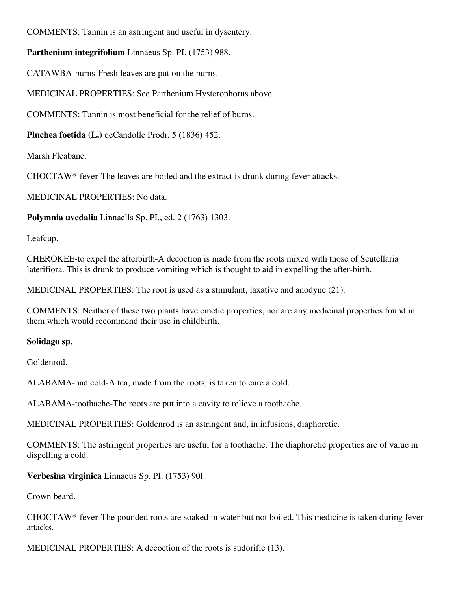COMMENTS: Tannin is an astringent and useful in dysentery.

**Parthenium integrifolium** Linnaeus Sp. PI. (1753) 988.

CATAWBA-burns-Fresh leaves are put on the burns.

MEDICINAL PROPERTIES: See Parthenium Hysterophorus above.

COMMENTS: Tannin is most beneficial for the relief of burns.

**Pluchea foetida (L.)** deCandolle Prodr. 5 (1836) 452.

Marsh Fleabane.

CHOCTAW\*-fever-The leaves are boiled and the extract is drunk during fever attacks.

MEDICINAL PROPERTIES: No data.

**Polymnia uvedalia** Linnaells Sp. PI., ed. 2 (1763) 1303.

Leafcup.

CHEROKEE-to expel the afterbirth-A decoction is made from the roots mixed with those of Scutellaria laterifiora. This is drunk to produce vomiting which is thought to aid in expelling the after-birth.

MEDlCINAL PROPERTIES: The root is used as a stimulant, laxative and anodyne (21).

COMMENTS: Neither of these two plants have emetic properties, nor are any medicinal properties found in them which would recommend their use in childbirth.

### **Solidago sp.**

Goldenrod.

ALABAMA-bad cold-A tea, made from the roots, is taken to cure a cold.

ALABAMA-toothache-The roots are put into a cavity to relieve a toothache.

MEDlCINAL PROPERTIES: Goldenrod is an astringent and, in infusions, diaphoretic.

COMMENTS: The astringent properties are useful for a toothache. The diaphoretic properties are of value in dispelling a cold.

**Verbesina virginica** Linnaeus Sp. PI. (1753) 90l.

Crown beard.

CHOCTAW\*-fever-The pounded roots are soaked in water but not boiled. This medicine is taken during fever attacks.

MEDlCINAL PROPERTIES: A decoction of the roots is sudorific (13).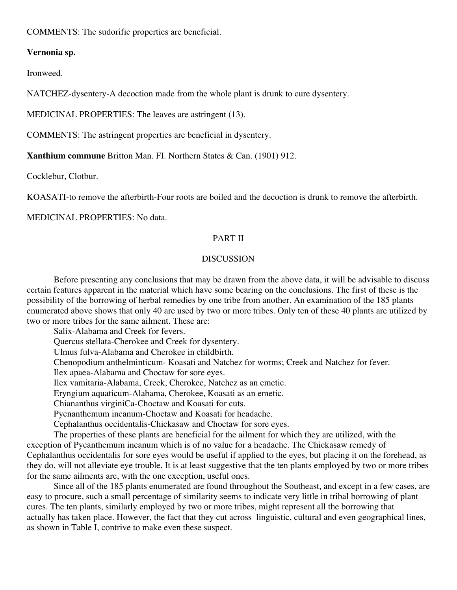COMMENTS: The sudorific properties are beneficial.

#### **Vernonia sp.**

Ironweed.

NATCHEZ-dysentery-A decoction made from the whole plant is drunk to cure dysentery.

MEDICINAL PROPERTIES: The leaves are astringent (13).

COMMENTS: The astringent properties are beneficial in dysentery.

**Xanthium commune** Britton Man. FI. Northern States & Can. (1901) 912.

Cocklebur, Clotbur.

KOASATI-to remove the afterbirth-Four roots are boiled and the decoction is drunk to remove the afterbirth.

MEDICINAL PROPERTIES: No data.

### PART II

#### DISCUSSION

Before presenting any conclusions that may be drawn from the above data, it will be advisable to discuss certain features apparent in the material which have some bearing on the conclusions. The first of these is the possibility of the borrowing of herbal remedies by one tribe from another. An examination of the 185 plants enumerated above shows that only 40 are used by two or more tribes. Only ten of these 40 plants are utilized by two or more tribes for the same ailment. These are:

Salix-Alabama and Creek for fevers. Quercus stellata-Cherokee and Creek for dysentery. Ulmus fulva-Alabama and Cherokee in childbirth. Chenopodium anthelminticum- Koasati and Natchez for worms; Creek and Natchez for fever. Ilex apaea-Alabama and Choctaw for sore eyes. Ilex vamitaria-Alabama, Creek, Cherokee, Natchez as an emetic. Eryngium aquaticum-Alabama, Cherokee, Koasati as an emetic. Chiananthus virginiCa-Choctaw and Koasati for cuts. Pycnanthemum incanum-Choctaw and Koasati for headache. Cephalanthus occidentalis-Chickasaw and Choctaw for sore eyes. The properties of these plants are beneficial for the ailment for which they are utilized, with the

exception of Pycanthemum incanum which is of no value for a headache. The Chickasaw remedy of Cephalanthus occidentalis for sore eyes would be useful if applied to the eyes, but placing it on the forehead, as they do, will not alleviate eye trouble. It is at least suggestive that the ten plants employed by two or more tribes for the same ailments are, with the one exception, useful ones.

Since all of the 185 plants enumerated are found throughout the Southeast, and except in a few cases, are easy to procure, such a small percentage of similarity seems to indicate very little in tribal borrowing of plant cures. The ten plants, similarly employed by two or more tribes, might represent all the borrowing that actually has taken place. However, the fact that they cut across linguistic, cultural and even geographical lines, as shown in Table I, contrive to make even these suspect.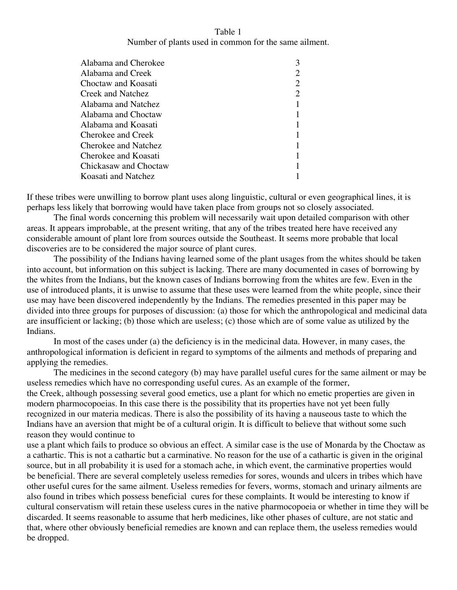### Table 1 Number of plants used in common for the same ailment.

| Alabama and Cherokee  |  |
|-----------------------|--|
| Alabama and Creek     |  |
| Choctaw and Koasati   |  |
| Creek and Natchez     |  |
| Alabama and Natchez   |  |
| Alabama and Choctaw   |  |
| Alabama and Koasati   |  |
| Cherokee and Creek    |  |
| Cherokee and Natchez  |  |
| Cherokee and Koasati  |  |
| Chickasaw and Choctaw |  |
| Koasati and Natchez   |  |

If these tribes were unwilling to borrow plant uses along linguistic, cultural or even geographical lines, it is perhaps less likely that borrowing would have taken place from groups not so closely associated.

The final words concerning this problem will necessarily wait upon detailed comparison with other areas. It appears improbable, at the present writing, that any of the tribes treated here have received any considerable amount of plant lore from sources outside the Southeast. It seems more probable that local discoveries are to be considered the major source of plant cures.

The possibility of the Indians having learned some of the plant usages from the whites should be taken into account, but information on this subject is lacking. There are many documented in cases of borrowing by the whites from the Indians, but the known cases of Indians borrowing from the whites are few. Even in the use of introduced plants, it is unwise to assume that these uses were learned from the white people, since their use may have been discovered independently by the Indians. The remedies presented in this paper may be divided into three groups for purposes of discussion: (a) those for which the anthropological and medicinal data are insufficient or lacking; (b) those which are useless; (c) those which are of some value as utilized by the Indians.

In most of the cases under (a) the deficiency is in the medicinal data. However, in many cases, the anthropological information is deficient in regard to symptoms of the ailments and methods of preparing and applying the remedies.

The medicines in the second category (b) may have parallel useful cures for the same ailment or may be useless remedies which have no corresponding useful cures. As an example of the former,

the Creek, although possessing several good emetics, use a plant for which no emetic properties are given in modern pharmocopoeias. In this case there is the possibility that its properties have not yet been fully recognized in our materia medicas. There is also the possibility of its having a nauseous taste to which the Indians have an aversion that might be of a cultural origin. It is difficult to believe that without some such reason they would continue to

use a plant which fails to produce so obvious an effect. A similar case is the use of Monarda by the Choctaw as a cathartic. This is not a cathartic but a carminative. No reason for the use of a cathartic is given in the original source, but in all probability it is used for a stomach ache, in which event, the carminative properties would be beneficial. There are several completely useless remedies for sores, wounds and ulcers in tribes which have other useful cures for the same ailment. Useless remedies for fevers, worms, stomach and urinary ailments are also found in tribes which possess beneficial cures for these complaints. It would be interesting to know if cultural conservatism will retain these useless cures in the native pharmocopoeia or whether in time they will be discarded. It seems reasonable to assume that herb medicines, like other phases of culture, are not static and that, where other obviously beneficial remedies are known and can replace them, the useless remedies would be dropped.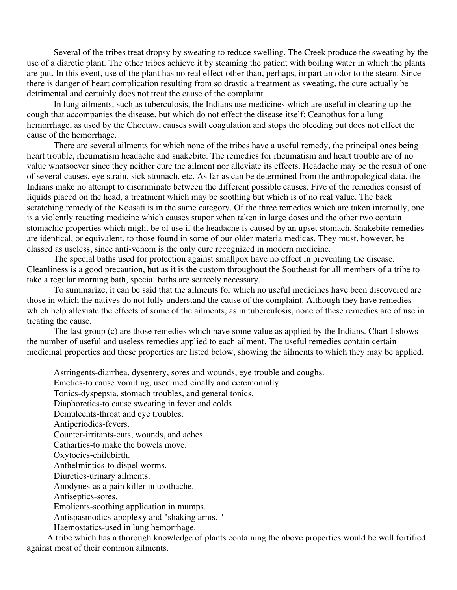Several of the tribes treat dropsy by sweating to reduce swelling. The Creek produce the sweating by the use of a diaretic plant. The other tribes achieve it by steaming the patient with boiling water in which the plants are put. In this event, use of the plant has no real effect other than, perhaps, impart an odor to the steam. Since there is danger of heart complication resulting from so drastic a treatment as sweating, the cure actually be detrimental and certainly does not treat the cause of the complaint.

In lung ailments, such as tuberculosis, the Indians use medicines which are useful in clearing up the cough that accompanies the disease, but which do not effect the disease itself: Ceanothus for a lung hemorrhage, as used by the Choctaw, causes swift coagulation and stops the bleeding but does not effect the cause of the hemorrhage.

There are several ailments for which none of the tribes have a useful remedy, the principal ones being heart trouble, rheumatism headache and snakebite. The remedies for rheumatism and heart trouble are of no value whatsoever since they neither cure the ailment nor alleviate its effects. Headache may be the result of one of several causes, eye strain, sick stomach, etc. As far as can be determined from the anthropological data, the Indians make no attempt to discriminate between the different possible causes. Five of the remedies consist of liquids placed on the head, a treatment which may be soothing but which is of no real value. The back scratching remedy of the Koasati is in the same category. Of the three remedies which are taken internally, one is a violently reacting medicine which causes stupor when taken in large doses and the other two contain stomachic properties which might be of use if the headache is caused by an upset stomach. Snakebite remedies are identical, or equivalent, to those found in some of our older materia medicas. They must, however, be classed as useless, since anti-venom is the only cure recognized in modern medicine.

The special baths used for protection against smallpox have no effect in preventing the disease. Cleanliness is a good precaution, but as it is the custom throughout the Southeast for all members of a tribe to take a regular morning bath, special baths are scarcely necessary.

To summarize, it can be said that the ailments for which no useful medicines have been discovered are those in which the natives do not fully understand the cause of the complaint. Although they have remedies which help alleviate the effects of some of the ailments, as in tuberculosis, none of these remedies are of use in treating the cause.

The last group (c) are those remedies which have some value as applied by the Indians. Chart I shows the number of useful and useless remedies applied to each ailment. The useful remedies contain certain medicinal properties and these properties are listed below, showing the ailments to which they may be applied.

Astringents-diarrhea, dysentery, sores and wounds, eye trouble and coughs.

Emetics-to cause vomiting, used medicinally and ceremonially.

Tonics-dyspepsia, stomach troubles, and general tonics.

Diaphoretics-to cause sweating in fever and colds.

Demulcents-throat and eye troubles.

Antiperiodics-fevers.

Counter-irritants-cuts, wounds, and aches.

Cathartics-to make the bowels move.

Oxytocics-childbirth.

Anthelmintics-to dispel worms.

Diuretics-urinary ailments.

Anodynes-as a pain killer in toothache.

Antiseptics-sores.

Emolients-soothing application in mumps.

Antispasmodics-apoplexy and "shaking arms. "

Haemostatics-used in lung hemorrhage.

 A tribe which has a thorough knowledge of plants containing the above properties would be well fortified against most of their common ailments.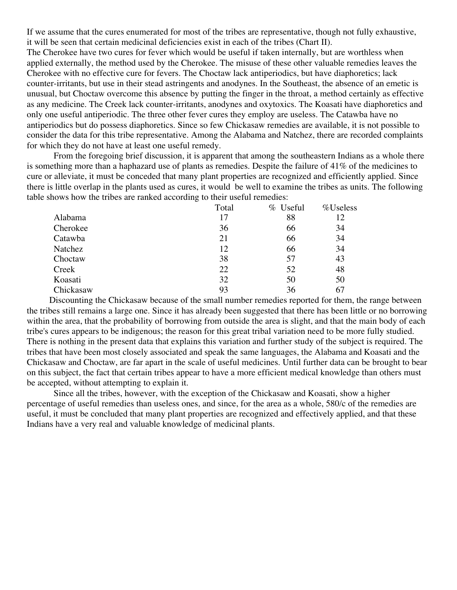If we assume that the cures enumerated for most of the tribes are representative, though not fully exhaustive, it will be seen that certain medicinal deficiencies exist in each of the tribes (Chart II).

The Cherokee have two cures for fever which would be useful if taken internally, but are worthless when applied externally, the method used by the Cherokee. The misuse of these other valuable remedies leaves the Cherokee with no effective cure for fevers. The Choctaw lack antiperiodics, but have diaphoretics; lack counter-irritants, but use in their stead astringents and anodynes. In the Southeast, the absence of an emetic is unusual, but Choctaw overcome this absence by putting the finger in the throat, a method certainly as effective as any medicine. The Creek lack counter-irritants, anodynes and oxytoxics. The Koasati have diaphoretics and only one useful antiperiodic. The three other fever cures they employ are useless. The Catawba have no antiperiodics but do possess diaphoretics. Since so few Chickasaw remedies are available, it is not possible to consider the data for this tribe representative. Among the Alabama and Natchez, there are recorded complaints for which they do not have at least one useful remedy.

From the foregoing brief discussion, it is apparent that among the southeastern Indians as a whole there is something more than a haphazard use of plants as remedies. Despite the failure of 41% of the medicines to cure or alleviate, it must be conceded that many plant properties are recognized and efficiently applied. Since there is little overlap in the plants used as cures, it would be well to examine the tribes as units. The following table shows how the tribes are ranked according to their useful remedies:

|           | Total | % Useful | %Useless |
|-----------|-------|----------|----------|
| Alabama   | 17    | 88       | 12       |
| Cherokee  | 36    | 66       | 34       |
| Catawba   | 21    | 66       | 34       |
| Natchez   | 12    | 66       | 34       |
| Choctaw   | 38    | 57       | 43       |
| Creek     | 22    | 52       | 48       |
| Koasati   | 32    | 50       | 50       |
| Chickasaw | 93    | 36       | 67       |

 Discounting the Chickasaw because of the small number remedies reported for them, the range between the tribes still remains a large one. Since it has already been suggested that there has been little or no borrowing within the area, that the probability of borrowing from outside the area is slight, and that the main body of each tribe's cures appears to be indigenous; the reason for this great tribal variation need to be more fully studied. There is nothing in the present data that explains this variation and further study of the subject is required. The tribes that have been most closely associated and speak the same languages, the Alabama and Koasati and the Chickasaw and Choctaw, are far apart in the scale of useful medicines. Until further data can be brought to bear on this subject, the fact that certain tribes appear to have a more efficient medical knowledge than others must be accepted, without attempting to explain it.

Since all the tribes, however, with the exception of the Chickasaw and Koasati, show a higher percentage of useful remedies than useless ones, and since, for the area as a whole, 580/c of the remedies are useful, it must be concluded that many plant properties are recognized and effectively applied, and that these Indians have a very real and valuable knowledge of medicinal plants.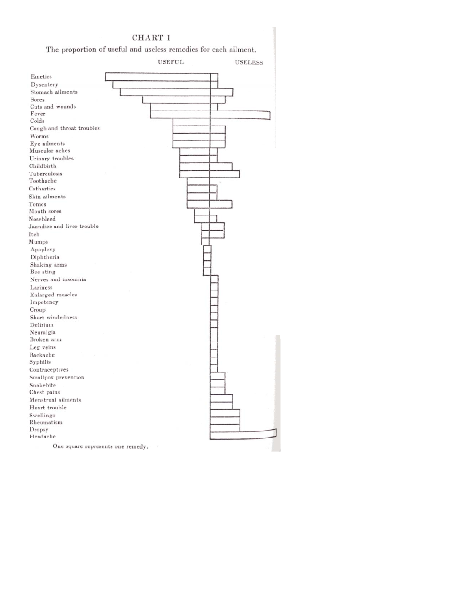### CHART I

The proportion of useful and useless remedies for each ailment.

|                                   | <b>USEFUL</b> | <b>USELESS</b> |
|-----------------------------------|---------------|----------------|
| Emetics                           |               |                |
| Dysentery                         |               |                |
| Stomach ailments                  |               |                |
| Sores                             |               |                |
| Cuts and wounds                   |               |                |
| Fever                             |               |                |
| Colds                             |               |                |
| Cough and throat troubles         |               |                |
| Worms                             |               |                |
| Eye ailments                      |               |                |
| Muscular aches                    |               |                |
| Urinary troubles                  |               |                |
| Childbirth                        |               |                |
| Tuberculosis                      |               |                |
| Toothache                         |               |                |
| Cathartics                        |               |                |
| Skin ailments                     |               |                |
| Tonics                            |               |                |
| Mouth sores                       |               |                |
| Nosebleed                         |               |                |
| Jaundice and liver trouble        |               |                |
| Itch                              |               |                |
| Mumps                             |               |                |
| Apoplexy                          |               |                |
| Diphtheria                        |               |                |
| Shaking arms                      |               |                |
| Bee sting                         |               |                |
| Nerves and insomnia               |               |                |
| Laziness                          |               |                |
| Enlarged muscles                  |               |                |
| Impotency                         |               |                |
| Croup                             |               |                |
| Short windedness                  |               |                |
| Delirium                          |               |                |
| Neuralgia                         |               |                |
| Broken arm                        |               |                |
| Leg veins                         |               |                |
| Backache                          |               |                |
| Syphilis                          |               |                |
| Contraceptives                    |               |                |
| Smallpox prevention               |               |                |
| Snakebite                         |               |                |
| Chest pains<br>Menstrual ailments |               |                |
| Heart trouble                     |               |                |
| Swellings                         |               |                |
| Rheumatism                        |               |                |
| Dropsy                            |               |                |
| Headache                          |               |                |
| One square represents one remedy. |               |                |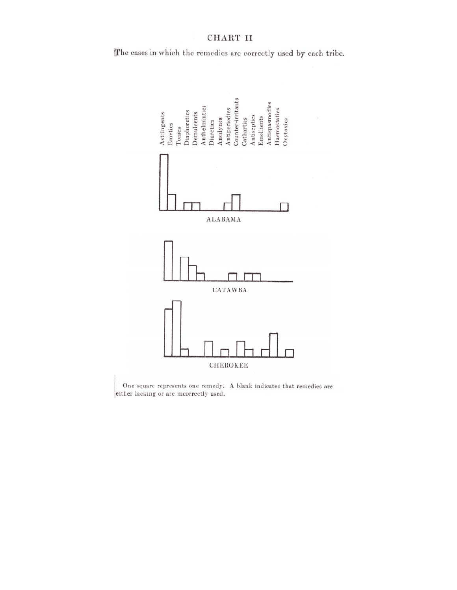### CHART II

The cases in which the remedies are correctly used by each tribe.



One square represents one remedy. A blank indicates that remedies are either lacking or are incorrectly used.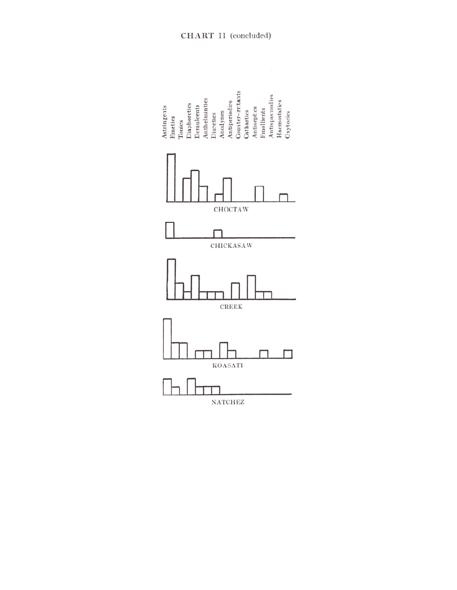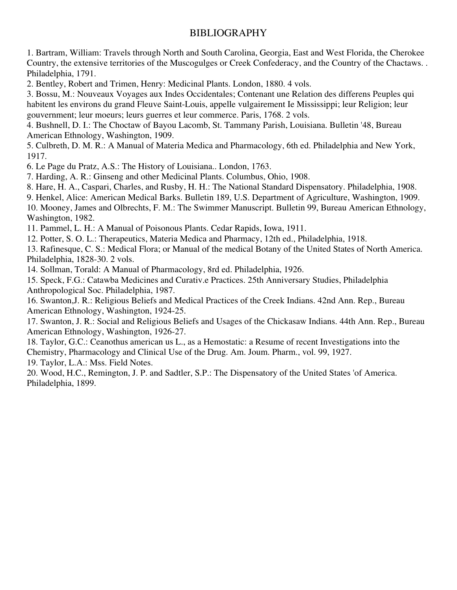### BIBLIOGRAPHY

1. Bartram, William: Travels through North and South Carolina, Georgia, East and West Florida, the Cherokee Country, the extensive territories of the Muscogulges or Creek Confederacy, and the Country of the Chactaws. . Philadelphia, 1791.

2. Bentley, Robert and Trimen, Henry: Medicinal Plants. London, 1880. 4 vols.

3. Bossu, M.: Nouveaux Voyages aux Indes Occidentales; Contenant une Relation des differens Peuples qui habitent les environs du grand Fleuve Saint-Louis, appelle vulgairement Ie Mississippi; leur Religion; leur gouvernment; leur moeurs; leurs guerres et leur commerce. Paris, 1768. 2 vols.

4. Bushnell, D. I.: The Choctaw of Bayou Lacomb, St. Tammany Parish, Louisiana. Bulletin '48, Bureau American Ethnology, Washington, 1909.

5. Culbreth, D. M. R.: A Manual of Materia Medica and Pharmacology, 6th ed. Philadelphia and New York, 1917.

6. Le Page du Pratz, A.S.: The History of Louisiana.. London, 1763.

7. Harding, A. R.: Ginseng and other Medicinal Plants. Columbus, Ohio, 1908.

8. Hare, H. A., Caspari, Charles, and Rusby, H. H.: The National Standard Dispensatory. Philadelphia, 1908.

9. Henkel, Alice: American Medical Barks. Bulletin 189, U.S. Department of Agriculture, Washington, 1909.

10. Mooney, James and Olbrechts, F. M.: The Swimmer Manuscript. Bulletin 99, Bureau American Ethnology, Washington, 1982.

11. Pammel, L. H.: A Manual of Poisonous Plants. Cedar Rapids, Iowa, 1911.

12. Potter, S. O. L.: Therapeutics, Materia Medica and Pharmacy, 12th ed., Philadelphia, 1918.

13. Rafinesque, C. S.: Medical Flora; or Manual of the medical Botany of the United States of North America. Philadelphia, 1828-30. 2 vols.

14. Sollman, Torald: A Manual of Pharmacology, 8rd ed. Philadelphia, 1926.

15. Speck, F.G.: Catawba Medicines and Curativ.e Practices. 25th Anniversary Studies, Philadelphia Anthropological Soc. Philadelphia, 1987.

16. Swanton,J. R.: Religious Beliefs and Medical Practices of the Creek Indians. 42nd Ann. Rep., Bureau American Ethnology, Washington, 1924-25.

17. Swanton, J. R.: Social and Religious Beliefs and Usages of the Chickasaw Indians. 44th Ann. Rep., Bureau American Ethnology, Washington, 1926-27.

18. Taylor, G.C.: Ceanothus american us L., as a Hemostatic: a Resume of recent Investigations into the Chemistry, Pharmacology and Clinical Use of the Drug. Am. Joum. Pharm., vol. 99, 1927.

19. Taylor, L.A.: Mss. Field Notes.

20. Wood, H.C., Remington, J. P. and Sadtler, S.P.: The Dispensatory of the United States 'of America. Philadelphia, 1899.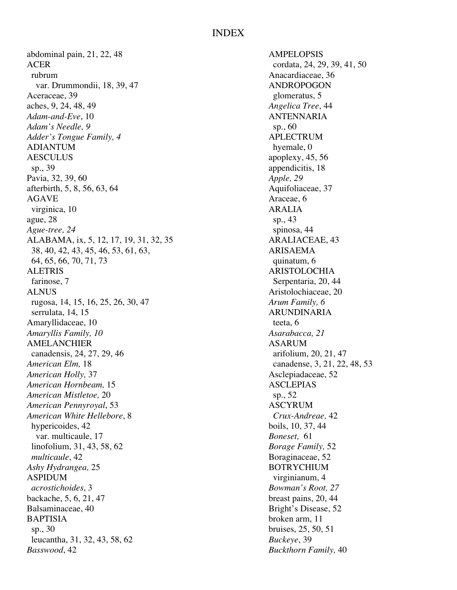### INDEX

abdominal pain, 21, 22, 48 AMPELOPSIS ACER cordata, 24, 29, 39, 41, 50 rubrum Anacardiaceae, 36 var. Drummondii, 18, 39, 47 ANDROPOGON Aceraceae, 39 glomeratus, 5 aches, 9, 24, 48, 49 *Angelica Tree*, 44 *Adam-and-Eve*, 10 ANTENNARIA *Adam's Needle, 9* sp., 60 *Adder's Tongue Family, 4* APLECTRUM ADIANTUM hyemale. 0 AESCULUS apoplexy, 45, 56 sp., 39 appendicitis, 18 Pavia, 32, 39, 60 *Apple, 29* afterbirth, 5, 8, 56, 63, 64 Aquifoliaceae, 37 AGAVE Araceae, 6 virginica, 10 ARALIA ague, 28 sp., 43 *Ague-tree, 24* spinosa, 44 ALABAMA, ix, 5, 12, 17, 19, 31, 32, 35 ARALIACEAE, 43 38, 40, 42, 43, 45, 46, 53, 61, 63, ARISAEMA 64, 65, 66, 70, 71, 73 quinatum, 6 ALETRIS ARISTOLOCHIA farinose, 7 Serpentaria, 20, 44 ALNUS Aristolochiaceae, 20 rugosa, 14, 15, 16, 25, 26, 30, 47 *Arum Family, 6* serrulata, 14, 15 ARUNDINARIA Amaryllidaceae, 10 teeta, 6 *Amaryllis Family, 10* Assembly *Asarabacca, 21* Assembly *Asarabacca, 21* AMELANCHIER ASARUM<br>
canadensis, 24, 27, 29, 46 arifolium, 20, 21, 47 canadensis, 24, 27, 29, 46 *American Elm,* 18 canadense, 3, 21, 22, 48, 53 *American Holly, 37* Asclepiadaceae, 52 *American Hornbeam,* 15 ASCLEPIAS *American Mistletoe, 20* sp., 52 *American Pennyroyal*, 53 ASCYRUM *American White Hellebore*, 8 *Crux-Andreae,* 42 hypericoides, 42 boils, 10, 37, 44 var. multicaule, 17 *Boneset,* 61 linofolium, 31, 43, 58, 62 *Borage Family,* 52 *multicaule*, 42 Boraginaceae, 52 *Ashy Hydrangea,* 25 BOTRYCHIUM ASPIDUM virginianum, 4 *acrostichoides*, 3 *Bowman's Root, 27* backache, 5, 6, 21, 47 breast pains, 20, 44 Balsaminaceae, 40 Bright's Disease, 52 BAPTISIA broken arm, 11 sp., 30 bruises, 25, 50, 51 leucantha, 31, 32, 43, 58, 62 *Buckeye*, 39 *Basswood*, 42 *Buckthorn Family,* 40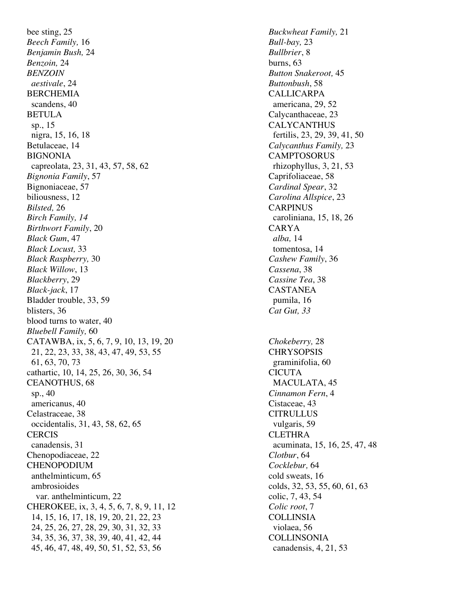bee sting, 25 *Buckwheat Family,* 21 *Beech Family,* 16 *Bull-bay,* 23 *Benjamin Bush,* 24 *Bullbrier*, 8 *Benzoin,* 24 burns, 63 *BENZOIN Button Snakeroot,* 45 *aestivale*, 24 *Buttonbush*, 58 BERCHEMIA CALLICARPA scandens, 40 americana, 29, 52 BETULA Calycanthaceae, 23 sp., 15 CALYCANTHUS nigra, 15, 16, 18 fertilis, 23, 29, 39, 41, 50 Betulaceae, 14 *Calycanthus Family,* 23 BIGNONIA CAMPTOSORUS capreolata, 23, 31, 43, 57, 58, 62 rhizophyllus, 3, 21, 53 *Bignonia Family*, 57 Caprifoliaceae, 58 Bignoniaceae, 57 *Cardinal Spear*, 32 biliousness, 12 *Carolina Allspice*, 23 *Bilsted,* 26 CARPINUS *Birch Family, 14* caroliniana, 15, 18, 26 *Birthwort Family*, 20 CARYA *Black Gum*, 47 *alba,* 14 *Black Locust,* 33 tomentosa, 14 *Black Raspberry,* 30 *Cashew Family*, 36 *Black Willow*, 13 *Cassena*, 38 *Blackberry*, 29 *Cassine Tea*, 38 *Black-jack*, 17 CASTANEA Bladder trouble, 33, 59 pumila, 16 blisters, 36 *Cat Gut, 33* blood turns to water, 40 *Bluebell Family,* 60 CATAWBA, ix, 5, 6, 7, 9, 10, 13, 19, 20 *Chokeberry,* 28 21, 22, 23, 33, 38, 43, 47, 49, 53, 55 CHRYSOPSIS 61, 63, 70, 73 graminifolia, 60 cathartic, 10, 14, 25, 26, 30, 36, 54 CICUTA CEANOTHUS, 68 MACULATA, 45 sp., 40 *Cinnamon Fern*, 4 americanus, 40 Cistaceae, 43 Celastraceae, 38 CITRULLUS occidentalis, 31, 43, 58, 62, 65 vulgaris, 59 CERCIS CLETHRA canadensis, 31 acuminata, 15, 16, 25, 47, 48 Chenopodiaceae, 22 *Clotbur*, 64 CHENOPODIUM *Cocklebur,* 64 anthelminticum, 65 cold sweats, 16 ambrosioides colds, 32, 53, 55, 60, 61, 63 var. anthelminticum, 22 colic, 7, 43, 54 CHEROKEE, ix, 3, 4, 5, 6, 7, 8, 9, 11, 12 *Colic root*, 7 14, 15, 16, 17, 18, 19, 20, 21, 22, 23 COLLINSIA 24, 25, 26, 27, 28, 29, 30, 31, 32, 33 violaea, 56 34, 35, 36, 37, 38, 39, 40, 41, 42, 44 COLLINSONIA 45, 46, 47, 48, 49, 50, 51, 52, 53, 56 canadensis, 4, 21, 53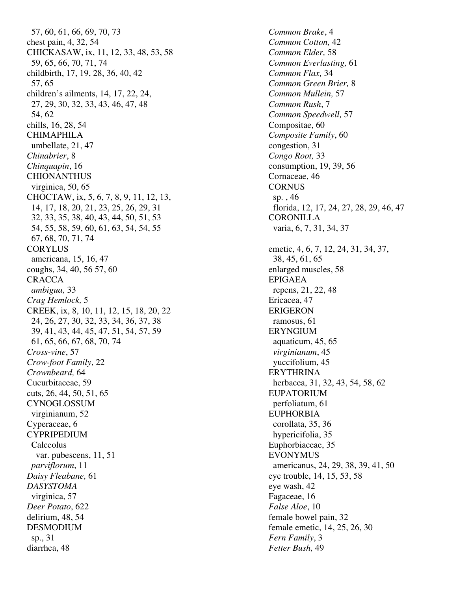57, 60, 61, 66, 69, 70, 73 *Common Brake*, 4 chest pain, 4, 32, 54 *Common Cotton,* 42 CHICKASAW, ix, 11, 12, 33, 48, 53, 58 *Common Elder,* 58 59, 65, 66, 70, 71, 74 *Common Everlasting,* 61 childbirth, 17, 19, 28, 36, 40, 42 *Common Flax,* 34 57, 65 *Common Green Brier,* 8 children's ailments, 14, 17, 22, 24, *Common Mullein,* 57 27, 29, 30, 32, 33, 43, 46, 47, 48 *Common Rush*, 7 54, 62 *Common Speedwell,* 57 chills, 16, 28, 54 Compositae, 60 CHIMAPHILA *Composite Family*, 60 umbellate, 21, 47 congestion, 31 *Chinabrier*, 8 *Congo Root,* 33 *Chinquapin*, 16 **consumption**, 19, 39, 56 CHIONANTHUS Cornaceae, 46 virginica, 50, 65 CORNUS CHOCTAW, ix, 5, 6, 7, 8, 9, 11, 12, 13, sp., 46 14, 17, 18, 20, 21, 23, 25, 26, 29, 31 florida, 12, 17, 24, 27, 28, 29, 46, 47 32, 33, 35, 38, 40, 43, 44, 50, 51, 53 CORONILLA 54, 55, 58, 59, 60, 61, 63, 54, 54, 55 varia, 6, 7, 31, 34, 37 67, 68, 70, 71, 74 CORYLUS emetic, 4, 6, 7, 12, 24, 31, 34, 37, americana, 15, 16, 47 38, 45, 61, 65 coughs, 34, 40, 56 57, 60 enlarged muscles, 58 CRACCA EPIGAEA *ambigua,* 33 repens, 21, 22, 48 *Crag Hemlock,* 5 Ericacea, 47 CREEK, ix, 8, 10, 11, 12, 15, 18, 20, 22 ERIGERON 24, 26, 27, 30, 32, 33, 34, 36, 37, 38 ramosus, 61 39, 41, 43, 44, 45, 47, 51, 54, 57, 59 ERYNGIUM 61, 65, 66, 67, 68, 70, 74 aquaticum, 45, 65 *Cross-vine*, 57 *virginianum*, 45 *Crow-foot Family*, 22 yuccifolium, 45 *Crownbeard,* 64 ERYTHRINA Cucurbitaceae, 59 herbacea, 31, 32, 43, 54, 58, 62 cuts, 26, 44, 50, 51, 65 EUPATORIUM CYNOGLOSSUM perfoliatum, 61 virginianum, 52 EUPHORBIA Cyperaceae, 6 corollata, 35, 36 CYPRIPEDIUM hypericifolia, 35 Calceolus Euphorbiaceae, 35 var. pubescens, 11, 51 EVONYMUS *parviflorum*, 11 **americanus**, 24, 29, 38, 39, 41, 50 *Daisy Fleabane,* 61 eye trouble, 14, 15, 53, 58 *DASYSTOMA* eye wash, 42 virginica, 57 Fagaceae, 16 *Deer Potato*, 622 *False Aloe*, 10 delirium, 48, 54 female bowel pain, 32 DESMODIUM female emetic, 14, 25, 26, 30 sp., 31 *Fern Family*, 3 diarrhea, 48 *Fetter Bush,* 49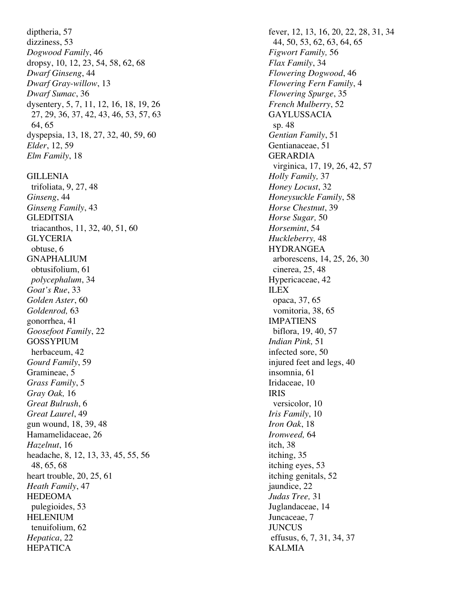diptheria, 57 **fever, 12, 13, 16, 20, 22, 28, 31, 34** dizziness, 53 44, 50, 53, 62, 63, 64, 65 *Dogwood Family*, 46 *Figwort Family,* 56 dropsy, 10, 12, 23, 54, 58, 62, 68 *Flax Family*, 34 *Dwarf Ginseng*, 44 *Flowering Dogwood*, 46 *Dwarf Gray-willow*, 13 *Flowering Fern Family*, 4 *Dwarf Sumac*, 36 *Flowering Spurge*, 35 dysentery, 5, 7, 11, 12, 16, 18, 19, 26 *French Mulberry*, 52 27, 29, 36, 37, 42, 43, 46, 53, 57, 63 GAYLUSSACIA 64, 65 sp. 48 dyspepsia, 13, 18, 27, 32, 40, 59, 60 *Gentian Family*, 51 *Elder*, 12, 59 Gentianaceae, 51 *Elm Family*, 18 GERARDIA GILLENIA *Holly Family,* 37 trifoliata, 9, 27, 48 *Honey Locust*, 32 *Ginseng*, 44 *Honeysuckle Family*, 58 *Ginseng Family*, 43 *Horse Chestnut*, 39 GLEDITSIA *Horse Sugar,* 50 triacanthos, 11, 32, 40, 51, 60 *Horsemint*, 54 GLYCERIA *Huckleberry,* 48 obtuse, 6 HYDRANGEA<br>GNAPHALIUM arborescens. 14 obtusifolium, 61 cinerea, 25, 48 *polycephalum*, 34 Hypericaceae, 42 Goat's Rue, 33 ILEX *Golden Aster*, 60 opaca, 37, 65 *Goldenrod,* 63 vomitoria, 38, 65 gonorrhea, 41 IMPATIENS *Goosefoot Family*, 22 biflora, 19, 40, 57 GOSSYPIUM *Indian Pink,* 51 herbaceum, 42 infected sore, 50 *Gourd Family*, 59 injured feet and legs, 40 Gramineae, 5 insomnia, 61 *Grass Family*, 5 Iridaceae, 10 *Gray Oak,* 16 IRIS *Great Bulrush*, 6 versicolor, 10 *Great Laurel*, 49 *Iris Family*, 10 gun wound, 18, 39, 48 *Iron Oak*, 18 Hamamelidaceae, 26 *Ironweed,* 64 *Hazelnut*, 16 itch, 38 headache, 8, 12, 13, 33, 45, 55, 56 itching, 35 48, 65, 68 itching eyes, 53 heart trouble, 20, 25, 61 itching genitals, 52 *Heath Family*, 47 jaundice, 22 HEDEOMA *Judas Tree,* 31 pulegioides, 53 Juglandaceae, 14 HELENIUM Juncaceae, 7 tenuifolium, 62 JUNCUS *Hepatica*, 22 effusus, 6, 7, 31, 34, 37 HEPATICA KALMIA

 virginica, 17, 19, 26, 42, 57 arborescens, 14, 25, 26, 30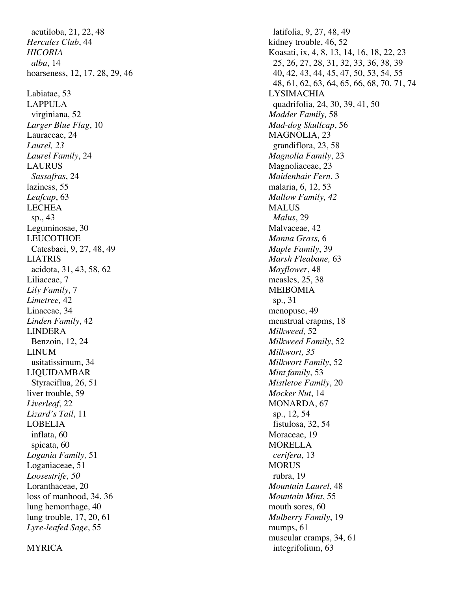acutiloba, 21, 22, 48 latifolia, 9, 27, 48, 49 *Hercules Club*, 44 kidney trouble, 46, 52 Labiatae, 53 LYSIMACHIA virginiana, 52 *Madder Family,* 58 *Larger Blue Flag*, 10 *Mad-dog Skullcap*, 56 Lauraceae, 24 MAGNOLIA, 23 *Laurel, 23* grandiflora, 23, 58 *Laurel Family*, 24 *Magnolia Family*, 23 LAURUS Magnoliaceae, 23 *Sassafras*, 24 *Maidenhair Fern*, 3 laziness, 55 malaria, 6, 12, 53 *Leafcup*, 63 *Mallow Family, 42* LECHEA MALUS sp., 43 *Malus*, 29 Leguminosae, 30 Malvaceae, 42 LEUCOTHOE *Manna Grass,* 6 Catesbaei, 9, 27, 48, 49 *Maple Family*, 39 LIATRIS *Marsh Fleabane,* 63 acidota, 31, 43, 58, 62 *Mayflower*, 48 Liliaceae, 7 measles, 25, 38 *Lily Family*, 7 MEIBOMIA *Limetree,* 42 sp., 31 Linaceae, 34 menopuse, 49 *Linden Family*, 42 menstrual crapms, 18 LINDERA *Milkweed,* 52 Benzoin, 12, 24 *Milkweed Family*, 52 LINUM *Milkwort, 35* usitatissimum, 34 *Milkwort Family*, 52 LIQUIDAMBAR *Mint family*, 53 Styraciflua, 26, 51 *Mistletoe Family*, 20 liver trouble, 59 *Mocker Nut*, 14 *Liverleaf, 22* MONARDA, 67 *Lizard's Tail*, 11 sp., 12, 54 LOBELIA fistulosa, 32, 54 inflata, 60 Moraceae, 19 spicata, 60 MORELLA *Logania Family,* 51 *cerifera*, 13 Loganiaceae, 51 MORUS *Loosestrife, 50* rubra, 19 Loranthaceae, 20 *Mountain Laurel*, 48 loss of manhood, 34, 36 *Mountain Mint*, 55 lung hemorrhage, 40 mouth sores, 60 lung trouble, 17, 20, 61 *Mulberry Family*, 19 *Lyre-leafed Sage*, 55 mumps, 61

*HICORIA* Koasati, ix, 4, 8, 13, 14, 16, 18, 22, 23 *alba*, 14 25, 26, 27, 28, 31, 32, 33, 36, 38, 39 hoarseness, 12, 17, 28, 29, 46 40, 42, 43, 44, 45, 47, 50, 53, 54, 55 48, 61, 62, 63, 64, 65, 66, 68, 70, 71, 74 LAPPULA quadrifolia, 24, 30, 39, 41, 50 muscular cramps, 34, 61

#### MYRICA integrifolium, 63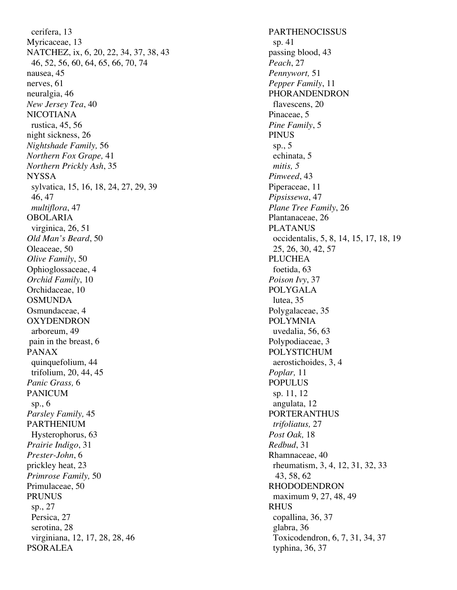cerifera, 13 PARTHENOCISSUS Myricaceae, 13 sp. 41 NATCHEZ, ix, 6, 20, 22, 34, 37, 38, 43 passing blood, 43 46, 52, 56, 60, 64, 65, 66, 70, 74 *Peach*, 27 nausea, 45 *Pennywort,* 51 nerves, 61 *Pepper Family*, 11 neuralgia, 46 PHORANDENDRON *New Jersey Tea*, 40 flavescens, 20 NICOTIANA Pinaceae, 5 rustica, 45, 56 *Pine Family*, 5 night sickness, 26 PINUS *Nightshade Family,* 56 sp., 5 *Northern Fox Grape,* 41 echinata, 5 *Northern Prickly Ash*, 35 *mitis, 5* NYSSA *Pinweed*, 43 sylvatica, 15, 16, 18, 24, 27, 29, 39 Piperaceae, 11 46, 47 *Pipsissewa*, 47 *multiflora*, 47 *Plane Tree Family*, 26 OBOLARIA Plantanaceae, 26 virginica, 26, 51 PLATANUS *Old Man's Beard*, 50 occidentalis, 5, 8, 14, 15, 17, 18, 19 Oleaceae, 50 25, 26, 30, 42, 57 *Olive Family*, 50 **PLUCHEA** Ophioglossaceae, 4 foetida, 63 *Orchid Family*, 10 *Poison Ivy*, 37 Orchidaceae, 10 POLYGALA OSMUNDA lutea, 35 Osmundaceae, 4 Polygalaceae, 35 OXYDENDRON POLYMNIA arboreum, 49 uvedalia, 56, 63 pain in the breast, 6 Polypodiaceae, 3 PANAX POLYSTICHUM quinquefolium, 44 aerostichoides, 3, 4 trifolium, 20, 44, 45 *Poplar,* 11 *Panic Grass, 6* POPULUS PANICUM sp. 11, 12 sp.,  $6$  angulata,  $12$ *Parsley Family, 45* PORTERANTHUS PARTHENIUM *trifoliatus,* 27 Hysterophorus, 63 *Post Oak,* 18 *Prairie Indigo*, 31 *Redbud*, 31 *Prester-John*, 6 Rhamnaceae, 40 prickley heat, 23 rheumatism, 3, 4, 12, 31, 32, 33 *Primrose Family,* 50 43, 58, 62 Primulaceae, 50 RHODODENDRON PRUNUS maximum 9, 27, 48, 49 sp., 27 RHUS Persica, 27 copallina, 36, 37 serotina, 28 glabra, 36 virginiana, 12, 17, 28, 28, 46 Toxicodendron, 6, 7, 31, 34, 37 PSORALEA typhina, 36, 37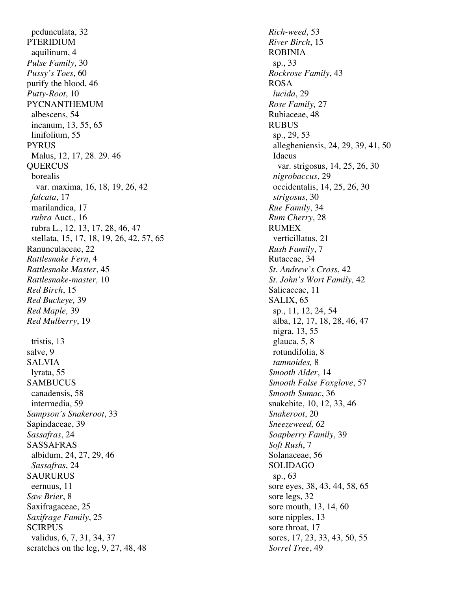pedunculata, 32 *Rich-weed*, 53 PTERIDIUM *River Birch*, 15 aquilinum, 4 ROBINIA *Pulse Family*, 30 sp., 33 *Pussy's Toes*, 60 *Rockrose Family*, 43 purify the blood, 46 ROSA *Putty-Root*, 10 *lucida*, 29 PYCNANTHEMUM *Rose Family,* 27 albescens, 54 Rubiaceae, 48 incanum, 13, 55, 65 RUBUS linifolium, 55 sp., 29, 53 PYRUS allegheniensis, 24, 29, 39, 41, 50 Malus, 12, 17, 28, 29, 46 Idaeus QUERCUS var. strigosus, 14, 25, 26, 30 borealis *nigrobaccus*, 29 var. maxima, 16, 18, 19, 26, 42 occidentalis, 14, 25, 26, 30 *falcata*, 17 *strigosus*, 30 marilandica, 17 *Rue Family*, 34 *rubra* Auct., 16 *Rum Cherry*, 28 rubra L., 12, 13, 17, 28, 46, 47 RUMEX stellata, 15, 17, 18, 19, 26, 42, 57, 65 verticillatus, 21 Ranunculaceae, 22 *Rush Family*, 7 *Rattlesnake Fern*, 4 **Rutaceae**, 34 **Rutaceae**, 34 *Rattlesnake Master*, 45 *St. Andrew's Cross*, 42 *Rattlesnake-master,* 10 *St. John's Wort Family,* 42 *Red Birch*, 15 Salicaceae, 11 *Red Buckeye,* 39 SALIX, 65 *Red Maple, 39* sp., 11, 12, 24, 54 *Red Mulberry*, 19 **b** alba, 12, 17, 18, 28, 46, 47 tristis, 13 glauca, 5, 8 salve, 9 rotundifolia, 8 SALVIA *tamnoides,* 8 lyrata, 55 *Smooth Alder*, 14 SAMBUCUS *Smooth False Foxglove*, 57 canadensis, 58 *Smooth Sumac*, 36 intermedia, 59 snakebite, 10, 12, 33, 46 *Sampson's Snakeroot*, 33 *Snakeroot*, 20 Sapindaceae, 39 *Sneezeweed, 62 Sassafras*, 24 *Soapberry Family*, 39 SASSAFRAS *Soft Rush*, 7 albidum, 24, 27, 29, 46 Solanaceae, 56 *Sassafras*, 24 SOLIDAGO SAURURUS sp., 63 eernuus, 11 sore eyes, 38, 43, 44, 58, 65 *Saw Brier*, 8 sore legs, 32 Saxifragaceae, 25 sore mouth, 13, 14, 60 *Saxifrage Family*, 25 sore nipples, 13 SCIRPUS sore throat, 17 validus, 6, 7, 31, 34, 37 sores, 17, 23, 33, 43, 50, 55 scratches on the leg, 9, 27, 48, 48 *Sorrel Tree*, 49

nigra, 13, 55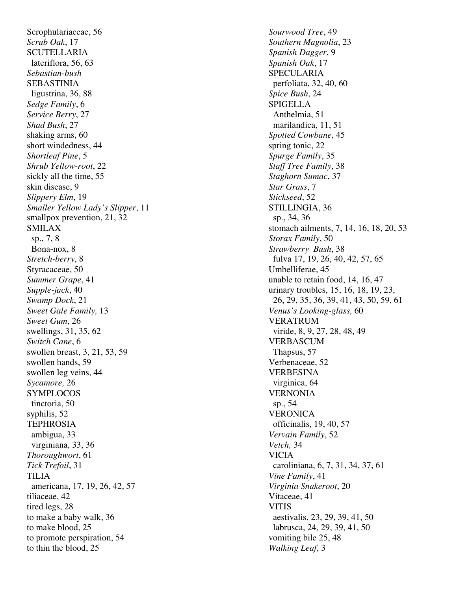Scrophulariaceae, 56 *Sourwood Tree*, 49 *Scrub Oak*, 17 *Southern Magnolia*, 23 SCUTELLARIA *Spanish Dagger*, 9 lateriflora, 56, 63 *Spanish Oak*, 17 *Sebastian-bush* SPECULARIA SEBASTINIA perfoliata, 32, 40, 60 ligustrina, 36, 88 *Spice Bush*, 24 *Sedge Family*, 6 SPIGELLA *Service Berry*, 27 Anthelmia, 51 *Shad Bush*, 27 marilandica, 11, 51 shaking arms, 60 *Spotted Cowbane*, 45 short windedness, 44 spring tonic, 22 *Shortleaf Pine*, 5 *Spurge Family*, 35 *Shrub Yellow-root*, 22 *Staff Tree Family*, 38 sickly all the time, 55 *Staghorn Sumac*, 37 skin disease, 9 *Star Grass*, 7 *Slippery Elm*, 19 *Stickseed*, 52 *Smaller Yellow Lady's Slipper*, 11 STILLINGIA, 36 smallpox prevention,  $21, 32$  sp.,  $34, 36$  sp., 7, 8 *Storax Family*, 50 Bona-nox, 8 *Strawberry Bush*, 38 *Stretch-berry*, 8 fulva 17, 19, 26, 40, 42, 57, 65 Styracaceae, 50 Umbelliferae, 45 *Summer Grape*, 41 **unable to retain food, 14, 16, 47** *Supple-jack*, 40 urinary troubles, 15, 16, 18, 19, 23, *Sweet Gale Family,* 13 *Venus's Looking-glass,* 60 *Sweet Gum*, 26 VERATRUM swellings, 31, 35, 62 viride, 8, 9, 27, 28, 48, 49 **Switch Cane, 6** VERBASCUM swollen breast, 3, 21, 53, 59 Thapsus, 57 swollen hands, 59 Verbenaceae, 52 swollen leg veins, 44 VERBESINA *Sycamore,* 26 virginica, 64 SYMPLOCOS VERNONIA tinctoria, 50 sp., 54 syphilis, 52 VERONICA TEPHROSIA officinalis, 19, 40, 57 ambigua, 33 *Vervain Family*, 52 virginiana, 33, 36 *Vetch,* 34 *Thoroughwort*, 61 VICIA *Tick Trefoil*, 31 caroliniana, 6, 7, 31, 34, 37, 61 TILIA *Vine Family*, 41 americana, 17, 19, 26, 42, 57 *Virginia Snakeroot*, 20 tiliaceae, 42 Vitaceae, 41 tired legs, 28 VITIS to make a baby walk,  $36$  aestivalis,  $23, 29, 39, 41, 50$ to make blood, 25 labrusca, 24, 29, 39, 41, 50 to promote perspiration, 54 vomiting bile 25, 48 to thin the blood, 25 *Walking Leaf*, 3

SMILAX stomach ailments, 7, 14, 16, 18, 20, 53 *Swamp Dock*, 21 26, 29, 35, 36, 39, 41, 43, 50, 59, 61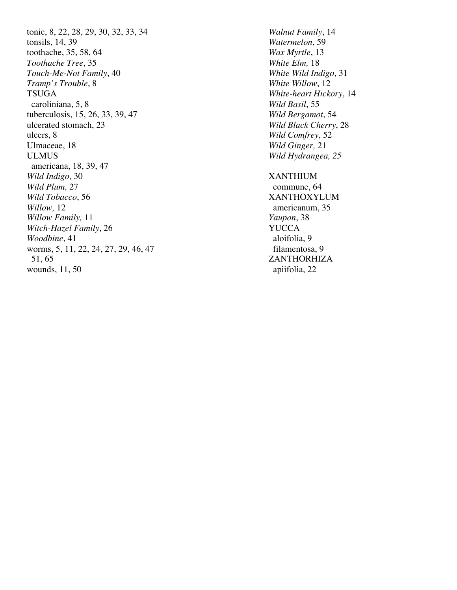tonic, 8, 22, 28, 29, 30, 32, 33, 34 *Walnut Family*, 14 tonsils, 14, 39 *Watermelon*, 59 toothache, 35, 58, 64 *Wax Myrtle*, 13 *Toothache Tree*, 35 *White Elm,* 18 *Touch-Me-Not Family*, 40 *White Wild Indigo*, 31 *Tramp's Trouble*, 8 *White Willow*, 12 TSUGA *White-heart Hickory*, 14 caroliniana, 5, 8 *Wild Basil*, 55 tuberculosis, 15, 26, 33, 39, 47 *Wild Bergamot*, 54 ulcerated stomach, 23 *Wild Black Cherry*, 28 ulcers, 8 *Wild Comfrey*, 52 Ulmaceae, 18 *Wild Ginger,* 21 ULMUS *Wild Hydrangea, 25* americana, 18, 39, 47 *Wild Indigo,* 30 XANTHIUM *Wild Plum,* 27 commune, 64 **Wild Tobacco, 56** XANTHOXYLUM *Willow,* 12 **americanum**, 35 *Willow Family,* 11 *Yaupon*, 38 *Witch-Hazel Family*, 26 *Woodbine*, 41 aloifolia, 9 worms, 5, 11, 22, 24, 27, 29, 46, 47 filamentosa, 9 51, 65 ZANTHORHIZA wounds, 11, 50 apiifolia, 22